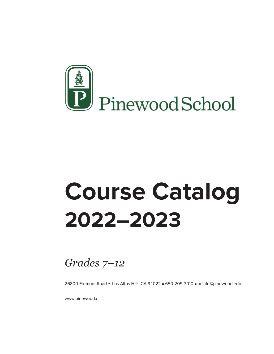

# **Course Catalog 2022–2023**



<sup>26800</sup> Fremont Road • Los Altos Hills CA <sup>94022</sup> ■ 650-209-3010 ■ [ucinfo@pinewood.edu](mailto:ucinfo@pinewood.edu)

[www.pinewood.e](http://www.pinewood.edu/)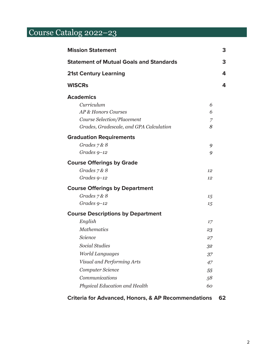## Course Catalog 2022–23

| <b>Mission Statement</b>                       |                |   |  |  |
|------------------------------------------------|----------------|---|--|--|
| <b>Statement of Mutual Goals and Standards</b> |                |   |  |  |
| <b>21st Century Learning</b>                   |                |   |  |  |
| <b>WISCRs</b>                                  |                | 4 |  |  |
| <b>Academics</b>                               |                |   |  |  |
| Curriculum                                     | 6              |   |  |  |
| AP & Honors Courses                            | 6              |   |  |  |
| Course Selection/Placement                     | $\overline{7}$ |   |  |  |
| Grades, Gradescale, and GPA Calculation        | 8              |   |  |  |
| <b>Graduation Requirements</b>                 |                |   |  |  |
| Grades $7 & 8$                                 | 9              |   |  |  |
| Grades $9-12$                                  | 9              |   |  |  |
| <b>Course Offerings by Grade</b>               |                |   |  |  |
| Grades $7 & 8$                                 | 12             |   |  |  |
| Grades $9-12$                                  | 12             |   |  |  |
| <b>Course Offerings by Department</b>          |                |   |  |  |
| Grades $7 & 8$                                 | 15             |   |  |  |
| Grades $9-12$                                  | 15             |   |  |  |
| <b>Course Descriptions by Department</b>       |                |   |  |  |
| English                                        | 17             |   |  |  |
| <b>Mathematics</b>                             | 23             |   |  |  |
| <b>Science</b>                                 | 27             |   |  |  |
| <b>Social Studies</b>                          | 32             |   |  |  |
| <b>World Languages</b>                         | 37             |   |  |  |
| <b>Visual and Performing Arts</b>              | 47             |   |  |  |
| Computer Science                               | 55             |   |  |  |
| Communications                                 | 58             |   |  |  |
| <b>Physical Education and Health</b>           | 60             |   |  |  |
|                                                |                |   |  |  |

## **Criteria for Advanced, Honors, & AP Recommendations 62**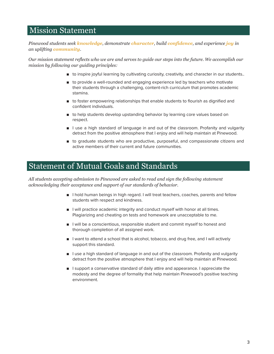## <span id="page-2-0"></span>Mission Statement

*Pinewood students seek knowledge, demonstrate character, build confidence, and experience joy in an uplifting community.*

Our mission statement reflects who we are and serves to quide our steps into the future. We accomplish our *mission by following our guiding principles:*

- to inspire joyful learning by cultivating curiosity, creativity, and character in our students..
- to provide a well-rounded and engaging experience led by teachers who motivate their students through a challenging, content-rich curriculum that promotes academic stamina.
- to foster empowering relationships that enable students to flourish as dignified and confident individuals.
- to help students develop upstanding behavior by learning core values based on respect.
- I use a high standard of language in and out of the classroom. Profanity and vulgarity detract from the positive atmosphere that I enjoy and will help maintain at Pinewood.
- to graduate students who are productive, purposeful, and compassionate citizens and active members of their current and future communities.

## <span id="page-2-1"></span>Statement of Mutual Goals and Standards

*All students accepting admission to Pinewood are asked to read and sign the following statement acknowledging their acceptance and support of our standards of behavior.*

- I hold human beings in high regard. I will treat teachers, coaches, parents and fellow students with respect and kindness.
- I will practice academic integrity and conduct myself with honor at all times. Plagiarizing and cheating on tests and homework are unacceptable to me.
- I will be a conscientious, responsible student and commit myself to honest and thorough completion of all assigned work.
- I want to attend a school that is alcohol, tobacco, and drug free, and I will actively support this standard.
- I use a high standard of language in and out of the classroom. Profanity and vulgarity detract from the positive atmosphere that I enjoy and will help maintain at Pinewood.
- <span id="page-2-2"></span>■ I support a conservative standard of daily attire and appearance. I appreciate the modesty and the degree of formality that help maintain Pinewood's positive teaching environment.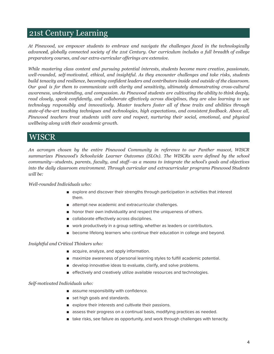## 21st Century Learning

*At Pinewood, we empower students to embrace and navigate the challenges faced in the technologically advanced, globally connected society of the 21st Century. Our curriculum includes a full breadth of college preparatory courses, and our extra-curricular of erings are extensive.*

*While mastering class content and pursuing potential interests, students become more creative, passionate, well-rounded, self-motivated, ethical, and insightful. As they encounter challenges and take risks, students build tenacity and resilience, becoming confident leaders and contributors inside and outside of the classroom. Our goal is for them to communicate with clarity and sensitivity, ultimately demonstrating cross-cultural awareness, understanding, and compassion. As Pinewood students are cultivating the ability to think deeply, read closely, speak confidently, and collaborate ef ectively across disciplines, they are also learning to use technology responsibly and innovatively. Master teachers foster all of these traits and abilities through state-of-the-art teaching techniques and technologies, high expectations, and consistent feedback. Above all, Pinewood teachers treat students with care and respect, nurturing their social, emotional, and physical wellbeing along with their academic growth.*

## **WISCR**

*An acronym chosen by the entire Pinewood Community in reference to our Panther mascot, WISCR summarizes Pinewood's Schoolwide Learner Outcomes (SLOs). The WISCRs were defined by the school community—students, parents, faculty, and staf —as a means to integrate the school's goals and objectives into the daily classroom environment. Through curricular and extracurricular programs Pinewood Students will be:*

#### *Well-rounded Individuals who:*

- explore and discover their strengths through participation in activities that interest them.
- attempt new academic and extracurricular challenges.
- honor their own individuality and respect the uniqueness of others.
- collaborate effectively across disciplines.
- work productively in a group setting, whether as leaders or contributors.
- become lifelong learners who continue their education in college and beyond.

#### *Insightful and Critical Thinkers who:*

- acquire, analyze, and apply information.
- maximize awareness of personal learning styles to fulfill academic potential.
- develop innovative ideas to evaluate, clarify, and solve problems.
- effectively and creatively utilize available resources and technologies.

#### *Self-motivated Individuals who:*

- assume responsibility with confidence.
- set high goals and standards.
- explore their interests and cultivate their passions.
- assess their progress on a continual basis, modifying practices as needed.
- take risks, see failure as opportunity, and work through challenges with tenacity.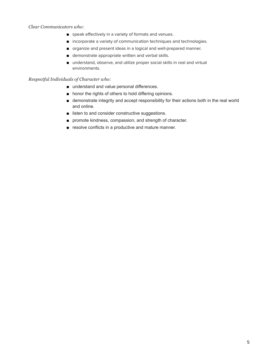#### *Clear Communicators who:*

- speak effectively in a variety of formats and venues.
- incorporate a variety of communication techniques and technologies.
- organize and present ideas in a logical and well-prepared manner.
- demonstrate appropriate written and verbal skills.
- understand, observe, and utilize proper social skills in real and virtual environments.

#### *Respectful Individuals of Character who:*

- understand and value personal differences.
- honor the rights of others to hold differing opinions.
- demonstrate integrity and accept responsibility for their actions both in the real world and online.
- listen to and consider constructive suggestions.
- promote kindness, compassion, and strength of character.
- resolve conflicts in a productive and mature manner.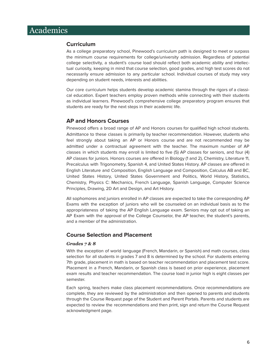## <span id="page-5-1"></span><span id="page-5-0"></span>Academics

#### **Curriculum**

As a college preparatory school, Pinewood's curriculum path is designed to meet or surpass the minimum course requirements for college/university admission. Regardless of potential college selectivity, a student's course load should reflect both academic ability and intellectual curiosity, keeping in mind that course selection, good grades, and high test scores do not necessarily ensure admission to any particular school. Individual courses of study may vary depending on student needs, interests and abilities.

Our core curriculum helps students develop academic stamina through the rigors of a classical education. Expert teachers employ proven methods while connecting with their students as individual learners. Pinewood's comprehensive college preparatory program ensures that students are ready for the next steps in their academic life.

### **AP and Honors Courses**

Pinewood offers a broad range of AP and Honors courses for qualified high school students. Admittance to these classes is primarily by teacher recommendation. However, students who feel strongly about taking an AP or Honors course and are not recommended may be admitted under a contractual agreement with the teacher. The maximum number of AP classes in which students may enroll is limited to five (5) AP classes for seniors, and four (4) AP classes for juniors. Honors courses are offered in Biology (1 and 2), Chemistry, Literature 11, Precalculus with Trigonometry, Spanish 4, and United States History. AP classes are offered in English Literature and Composition, English Language and Composition, Calculus AB and BC, United States History, United States Government and Politics, World History, Statistics, Chemistry, Physics C: Mechanics, French Language, Spanish Language, Computer Science Principles, Drawing, 2D Art and Design, and Art History.

All sophomores and juniors enrolled in AP classes are expected to take the corresponding AP Exams with the exception of juniors who will be counseled on an individual basis as to the appropriateness of taking the AP English Language exam. Seniors may opt out of taking an AP Exam with the approval of the College Counselor, the AP teacher, the student's parents, and a member of the administration.

#### **Course Selection and Placement**

#### *Grades 7 & 8*

With the exception of world language (French, Mandarin, or Spanish) and math courses, class selection for all students in grades 7 and 8 is determined by the school. For students entering 7th grade, placement in math is based on teacher recommendation and placement test score. Placement in a French, Mandarin, or Spanish class is based on prior experience, placement exam results and teacher recommendation. The course load in junior high is eight classes per semester.

Each spring, teachers make class placement recommendations. Once recommendations are complete, they are reviewed by the administration and then opened to parents and students through the Course Request page of the Student and Parent Portals. Parents and students are expected to review the recommendations and then print, sign and return the Course Request acknowledgment page.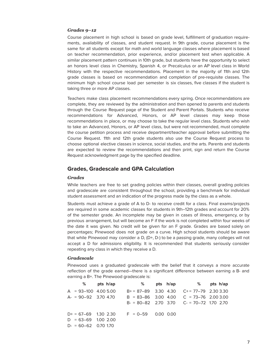#### *Grades 9–12*

Course placement in high school is based on grade level, fulfillment of graduation requirements, availability of classes, and student request. In 9th grade, course placement is the same for all students except for math and world language classes where placement is based on teacher recommendation, prior experience, and/or placement test when applicable. A similar placement pattern continues in 10th grade, but students have the opportunity to select an honors level class in Chemistry, Spanish 4, or Precalculus or an AP level class in World History with the respective recommendations. Placement in the majority of 11th and 12th grade classes is based on recommendation and completion of pre-requisite classes. The minimum high school course load per semester is six classes, five classes if the student is taking three or more AP classes.

Teachers make class placement recommendations every spring. Once recommendations are complete, they are reviewed by the administration and then opened to parents and students through the Course Request page of the Student and Parent Portals. Students who receive recommendations for Advanced, Honors, or AP level classes may keep those recommendations in place, or may choose to take the regular level class. Students who wish to take an Advanced, Honors, or AP level class, but were not recommended, must complete the course petition process and receive department/teacher approval before submitting the Course Request. 11th and 12th grade students also use the Course Request process to choose optional elective classes in science, social studies, and the arts. Parents and students are expected to review the recommendations and then print, sign and return the Course Request acknowledgment page by the specified deadline.

#### **Grades, Gradescale and GPA Calculation**

#### *Grades*

While teachers are free to set grading policies within their classes, overall grading policies and gradescale are consistent throughout the school, providing a benchmark for individual student assessment and an indication of the progress made by the class as a whole.

Students must achieve a grade of A to D- to receive credit for a class. Final exams/projects are required in some academic classes for students in 9th–12th grades and account for 20% of the semester grade. An incomplete may be given in cases of illness, emergency, or by previous arrangement, but will become an F if the work is not completed within four weeks of the date it was given. No credit will be given for an F grade. Grades are based solely on percentages; Pinewood does not grade on a curve. High school students should be aware that while Pinewood may consider a D,  $(D+, D)$  to be a passing grade, many colleges will not accept a D for admissions eligibility. It is recommended that students seriously consider repeating any class in which they receive a D.

#### *Gradescale*

Pinewood uses a graduated gradescale with the belief that it conveys a more accurate reflection of the grade earned—there is a significant difference between earning a B- and earning a B+. The Pinewood gradescale is:

|                          | % pts h/ap      % pts h/ap      % pts h/ap  |                                             |  |
|--------------------------|---------------------------------------------|---------------------------------------------|--|
| $A = 93 - 100$ 4.00 5.00 |                                             | $B+= 87-89$ 3.30 4.30 $C+= 77-79$ 2.30 3.30 |  |
| $A = 90 - 92$ 3.70 4.70  | $B = 83 - 86$ 3.00 4.00 C = 73-76 2.00 3.00 |                                             |  |
|                          |                                             | $B = 80-82$ 2.70 3.70 C- = 70-72 1.70 2.70  |  |
| $D+ = 67-69$ 1.30 2.30   | $F = 0 - 59$ 0.00 0.00                      |                                             |  |
| $D = 63 - 69$ 1.00 2.00  |                                             |                                             |  |
| $D = 60 - 62$ 0.70 1.70  |                                             |                                             |  |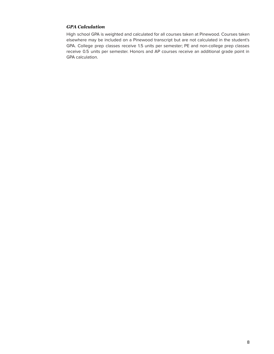#### *GPA Calculation*

High school GPA is weighted and calculated for all courses taken at Pinewood. Courses taken elsewhere may be included on a Pinewood transcript but are not calculated in the student's GPA. College prep classes receive 1.5 units per semester; PE and non-college prep classes receive 0.5 units per semester. Honors and AP courses receive an additional grade point in GPA calculation.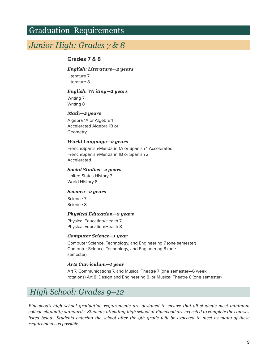## <span id="page-8-0"></span>Graduation Requirements

## <span id="page-8-1"></span>*Junior High: Grades 7 & 8*

### **Grades 7 & 8**

#### *English: Literature—2 years*

Literature 7 Literature 8

#### *English: Writing—2 years*

Writing 7 Writing 8

#### *Math—2 years*

Algebra 1A or Algebra 1 Accelerated Algebra 1B or **Geometry** 

#### *World Language—2 years*

French/Spanish/Mandarin 1A or Spanish 1 Accelerated French/Spanish/Mandarin 1B or Spanish 2 Accelerated

#### *Social Studies—2 years*

United States History 7 World History 8

#### *Science—2 years*

Science 7 Science 8

#### *Physical Education—2 years*

Physical Education/Health 7 Physical Education/Health 8

#### *Computer Science—1 year*

Computer Science, Technology, and Engineering 7 (one semester) Computer Science, Technology, and Engineering 8 (one semester)

#### *Arts Curriculum—1 year*

Art 7, Communications 7, and Musical Theatre 7 (one semester—6 week rotations) Art 8, Design and Engineering 8, or Musical Theatre 8 (one semester)

## *High School: Grades 9–12*

*Pinewood's high school graduation requirements are designed to ensure that all students meet minimum college eligibility standards. Students attending high school at Pinewood are expected to complete the courses* listed below. Students entering the school after the 9th grade will be expected to meet as many of these *requirements as possible.*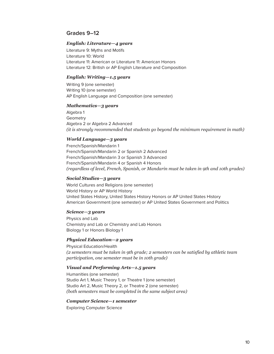### **Grades 9–12**

#### *English: Literature—4 years*

Literature 9: Myths and Motifs Literature 10: World Literature 11: American or Literature 11: American Honors Literature 12: British or AP English Literature and Composition

#### *English: Writing—1.5 years*

Writing 9 (one semester) Writing 10 (one semester) AP English Language and Composition (one semester)

#### *Mathematics—3 years*

Algebra 1 **Geometry** Algebra 2 or Algebra 2 Advanced *(it is strongly recommended that students go beyond the minimum requirement in math)*

#### *World Language—3 years*

French/Spanish/Mandarin 1 French/Spanish/Mandarin 2 or Spanish 2 Advanced French/Spanish/Mandarin 3 or Spanish 3 Advanced French/Spanish/Mandarin 4 or Spanish 4 Honors *(regardless of level, French, Spanish, or Mandarin must be taken in 9th and 10th grades)*

#### *Social Studies—3 years*

World Cultures and Religions (one semester) World History or AP World History United States History, United States History Honors or AP United States History American Government (one semester) or AP United States Government and Politics

#### *Science—3 years*

Physics and Lab Chemistry and Lab or Chemistry and Lab Honors Biology 1 or Honors Biology 1

#### *Physical Education—2 years*

Physical Education/Health *(2 semesters must be taken in 9th grade; 2 semesters can be satisfied by athletic team participation, one semester must be in 10th grade)*

#### *Visual and Performing Arts—1.5 years*

Humanities (one semester) Studio Art 1, Music Theory 1, or Theatre 1 (one semester) Studio Art 2, Music Theory 2, or Theatre 2 (one semester) *(both semesters must be completed in the same subject area)*

#### *Computer Science—1 semester*

Exploring Computer Science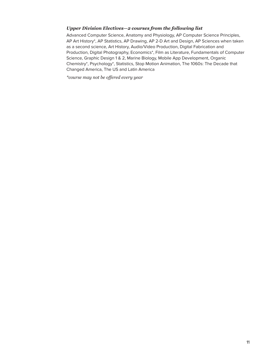#### *Upper Division Electives—2 courses from the following list*

Advanced Computer Science, Anatomy and Physiology, AP Computer Science Principles, AP Art History\*, AP Statistics, AP Drawing, AP 2-D Art and Design, AP Sciences when taken as a second science, Art History, Audio/Video Production, Digital Fabrication and Production, Digital Photography, Economics\*, Film as Literature, Fundamentals of Computer Science, Graphic Design 1 & 2, Marine Biology, Mobile App Development, Organic Chemistry\*, Psychology\*, Statistics, Stop Motion Animation, The 1060s: The Decade that Changed America, The US and Latin America

*\*course may not be of ered every year*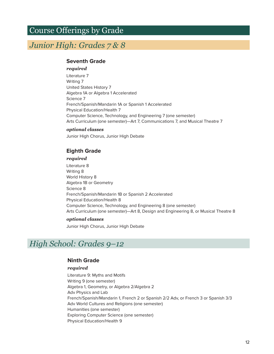## <span id="page-11-0"></span>Course Offerings by Grade

## *Junior High: Grades 7 & 8*

#### **Seventh Grade**

#### *required*

Literature 7 Writing 7 United States History 7 Algebra 1A or Algebra 1 Accelerated Science 7 French/Spanish/Mandarin 1A or Spanish 1 Accelerated Physical Education/Health 7 Computer Science, Technology, and Engineering 7 (one semester) Arts Curriculum (one semester)—Art 7, Communications 7, and Musical Theatre 7

#### *optional classes*

Junior High Chorus, Junior High Debate

### **Eighth Grade**

#### *required*

Literature 8 Writing 8 World History 8 Algebra 1B or Geometry Science 8 French/Spanish/Mandarin 1B or Spanish 2 Accelerated Physical Education/Health 8 Computer Science, Technology, and Engineering 8 (one semester) Arts Curriculum (one semester)—Art 8, Design and Engineering 8, or Musical Theatre 8

#### *optional classes*

Junior High Chorus, Junior High Debate

## *High School: Grades 9–12*

#### **Ninth Grade**

#### *required*

Literature 9: Myths and Motifs Writing 9 (one semester) Algebra 1, Geometry, or Algebra 2/Algebra 2 Adv Physics and Lab French/Spanish/Mandarin 1, French 2 or Spanish 2/2 Adv, or French 3 or Spanish 3/3 Adv World Cultures and Religions (one semester) Humanities (one semester) Exploring Computer Science (one semester) Physical Education/Health 9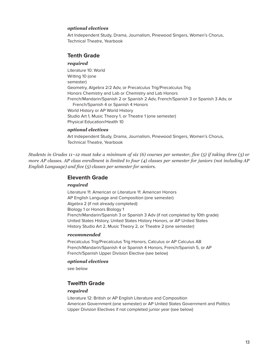#### *optional electives*

Art Independent Study, Drama, Journalism, Pinewood Singers, Women's Chorus, Technical Theatre, Yearbook

#### **Tenth Grade**

#### *required*

Literature 10: World Writing 10 (one semester) Geometry, Algebra 2/2 Adv, or Precalculus Trig/Precalculus Trig Honors Chemistry and Lab or Chemistry and Lab Honors French/Mandarin/Spanish 2 or Spanish 2 Adv, French/Spanish 3 or Spanish 3 Adv, or French/Spanish 4 or Spanish 4 Honors World History or AP World History Studio Art 1, Music Theory 1, or Theatre 1 (one semester) Physical Education/Health 10

#### *optional electives*

Art Independent Study, Drama, Journalism, Pinewood Singers, Women's Chorus, Technical Theatre, Yearbook

Students in Grades 11-12 must take a minimum of six (6) courses per semester, five (5) if taking three (3) or more AP classes. AP class enrollment is limited to four (4) classes per semester for juniors (not including AP *English Language) and five (5) classes per semester for seniors.*

#### **Eleventh Grade**

#### *required*

Literature 11: American or Literature 11: American Honors AP English Language and Composition (one semester) Algebra 2 (if not already completed) Biology 1 or Honors Biology 1 French/Mandarin/Spanish 3 or Spanish 3 Adv (if not completed by 10th grade) United States History, United States History Honors, or AP United States History Studio Art 2, Music Theory 2, or Theatre 2 (one semester)

#### *recommended*

Precalculus Trig/Precalculus Trig Honors, Calculus, or AP Calculus AB French/Mandarin/Spanish 4 or Spanish 4 Honors, French/Spanish 5, or AP French/Spanish Upper Division Elective (see below)

#### *optional electives*

see below

### **Twelfth Grade**

#### *required*

Literature 12: British or AP English Literature and Composition American Government (one semester) or AP United States Government and Politics Upper Division Electives if not completed junior year (see below)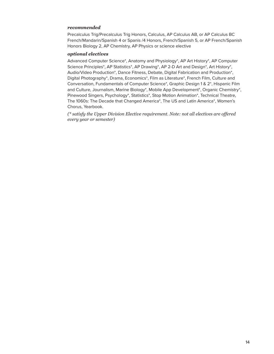#### *recommended*

Precalculus Trig/Precalculus Trig Honors, Calculus, AP Calculus AB, or AP Calculus BC French/Mandarin/Spanish 4 or Spanis /4 Honors, French/Spanish 5, or AP French/Spanish Honors Biology 2, AP Chemistry, AP Physics or science elective

#### *optional electives*

Advanced Computer Science\*, Anatomy and Physiology\*, AP Art History\*, AP Computer Science Principles\*, AP Statistics\*, AP Drawing\*, AP 2-D Art and Design\*, Art History\*, Audio/Video Production\*, Dance Fitness, Debate, Digital Fabrication and Production\*, Digital Photography\*, Drama, Economics\*, Film as Literature\*, French Film, Culture and Conversation, Fundamentals of Computer Science\*, Graphic Design 1 & 2\*, Hispanic Film and Culture, Journalism, Marine Biology\*, Mobile App Development\*, Organic Chemistry\*, Pinewood Singers, Psychology\*, Statistics\*, Stop Motion Animation\*, Technical Theatre, The 1060s: The Decade that Changed America\*, The US and Latin America\*, Women's Chorus, Yearbook.

*(\* satisfy the Upper Division Elective requirement. Note: not all electives are of ered every year or semester)*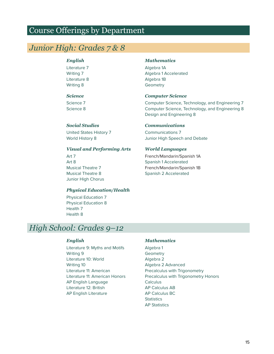## <span id="page-14-0"></span>Course Offerings by Department

## *Junior High: Grades 7 & 8*

Literature 7 Algebra 1A Literature 8 Algebra 1B Writing 8 Geometry

United States History 7 Communications 7

#### *Visual and Performing Arts World Languages*

Junior High Chorus

#### *Physical Education/Health*

Physical Education 7 Physical Education 8 Health 7 Health 8

## *High School: Grades 9–12*

Literature 9: Myths and Motifs Algebra 1 Writing 9 Geometry Literature 10: World Algebra 2 Writing 10 **Algebra 2 Advanced** Literature 11: American **Precalculus with Trigonometry** AP English Language Calculus Literature 12: British AP Calculus AB AP English Literature AP Calculus BC

#### *English Mathematics*

Writing 7 **Algebra 1 Accelerated** 

#### *Science Computer Science*

Science 7 Computer Science, Technology, and Engineering 7 Science 8 Computer Science, Technology, and Engineering 8 Design and Engineering 8

#### *Social Studies Communications*

World History 8 **Markor** Sunior High Speech and Debate

Art 7 **Art 7 French/Mandarin/Spanish 1A** Art 8 **Spanish 1 Accelerated** Musical Theatre 7 French/Mandarin/Spanish 1B Musical Theatre 8 Spanish 2 Accelerated

#### *English Mathematics*

Literature 11: American Honors Precalculus with Trigonometry Honors **Statistics** AP Statistics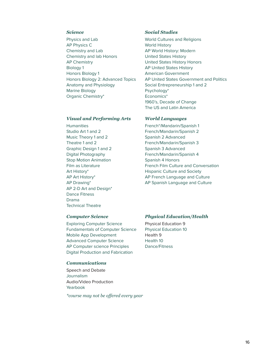Physics and Lab World Cultures and Religions AP Physics C World History Chemistry and Lab AP World History: Modern Chemistry and lab Honors United States History AP Chemistry United States History Honors Biology 1 **AP United States History** Honors Biology 1 **American Government** Anatomy and Physiology Social Entrepreneurship 1 and 2 Marine Biology **Psychology**\* Organic Chemistry\* **Economics**\*

#### *Visual and Performing Arts World Languages*

Humanities French\*/Mandarin/Spanish 1 Music Theory 1 and 2 Spanish 2 Advanced Graphic Design 1 and 2 Spanish 3 Advanced Stop Motion Animation Spanish 4 Honors AP 2-D Art and Design\* Dance Fitness Drama Technical Theatre

Exploring Computer Science Physical Education 9 Fundamentals of Computer Science Physical Education 10 Mobile App Development Health 9 Advanced Computer Science Health 10 AP Computer science Principles Dance/Fitness Digital Production and Fabrication

#### *Communications*

Speech and Debate **Journalism** Audio/Video Production Yearbook

*\*course may not be of ered every year*

#### *Science Social Studies*

Honors Biology 2: Advanced Topics AP United States Government and Politics 1960's, Decade of Change The US and Latin America

Studio Art 1 and 2 French/Mandarin/Spanish 2 Theatre 1 and 2 Theatre 1 and 2 Digital Photography French/Mandarin/Spanish 4 Film as Literature **Film Culture and Conversation** Art History\* The Mateur Hispanic Culture and Society AP Art History\* The Controller AP French Language and Culture AP Drawing\* The Communication of the Spanish Language and Culture

#### *Computer Science Physical Education/Health*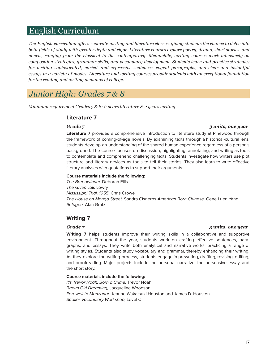## English Curriculum

The English curriculum offers separate writing and literature classes, giving students the chance to delve into both fields of study with greater depth and rigor. Literature courses explore poetry, drama, short stories, and *novels, ranging from the classical to the contemporary. Meanwhile, writing courses work intensively on composition strategies, grammar skills, and vocabulary development. Students learn and practice strategies for writing sophisticated, varied, and expressive sentences, cogent paragraphs, and clear and insightful essays in a variety of modes. Literature and writing courses provide students with an exceptional foundation for the reading and writing demands of college.*

*Junior High: Grades 7 & 8*

*Minimum requirement Grades 7 & 8: 2 years literature & 2 years writing*

#### **Literature 7**

#### *Grade 7 3 units, one year*

**Literature 7** provides a comprehensive introduction to literature study at Pinewood through the framework of coming-of-age novels. By examining texts through a historical-cultural lens, students develop an understanding of the shared human experience regardless of a person's background. The course focuses on discussion, highlighting, annotating, and writing as tools to contemplate and comprehend challenging texts. Students investigate how writers use plot structure and literary devices as tools to tell their stories. They also learn to write effective literary analyses with quotations to support their arguments.

#### **Course materials include the following:**

The Breadwinner, Deborah Ellis The Giver, Lois Lowry Mississippi Trial, 1955, Chris Crowe The House on Mango Street, Sandra Cisneros American Born Chinese, Gene Luen Yang Refugee, Alan Gratz

### **Writing 7**

#### *Grade 7 3 units, one year*

**Writing 7** helps students improve their writing skills in a collaborative and supportive environment. Throughout the year, students work on crafting effective sentences, paragraphs, and essays. They write both analytical and narrative works, practicing a range of writing styles. Students also study vocabulary and grammar, thereby enhancing their writing. As they explore the writing process, students engage in prewriting, drafting, revising, editing, and proofreading. Major projects include the personal narrative, the persuasive essay, and the short story.

#### **Course materials include the following:**

It's Trevor Noah: Born a Crime, Trevor Noah Brown Girl Dreaming, Jacqueline Woodson Farewell to Manzanar, Jeanne Wakatsuki Houston and James D. Houston Sadlier Vocabulary Workshop, Level C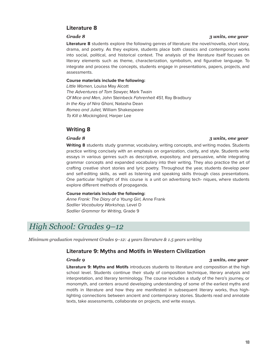### **Literature 8**

**Literature 8** students explore the following genres of literature: the novel/novella, short story, drama, and poetry. As they explore, students place both classics and contemporary works into social, political, and historical context. The analysis of the literature itself focuses on literary elements such as theme, characterization, symbolism, and figurative language. To integrate and process the concepts, students engage in presentations, papers, projects, and assessments.

#### **Course materials include the following:**

Little Women, Louisa May Alcott The Adventures of Tom Sawyer, Mark Twain Of Mice and Men, John Steinbeck Fahrenheit 451, Ray Bradbury In the Key of Nira Ghani, Natasha Dean Romeo and Juliet, William Shakespeare To Kill a Mockingbird, Harper Lee

### **Writing 8**

#### *Grade 8 3 units, one year*

**Writing 8** students study grammar, vocabulary, writing concepts, and writing modes. Students practice writing concisely with an emphasis on organization, clarity, and style. Students write essays in various genres such as descriptive, expository, and persuasive, while integrating grammar concepts and expanded vocabulary into their writing. They also practice the art of crafting creative short stories and lyric poetry. Throughout the year, students develop peer and self-editing skills, as well as listening and speaking skills through class presentations. One particular highlight of this course is a unit on advertising tech- niques, where students explore different methods of propaganda.

#### **Course materials include the following:**

Anne Frank: The Diary of a Young Girl, Anne Frank Sadlier Vocabulary Workshop, Level D Sadlier Grammar for Writing, Grade 9

## *High School: Grades 9–12*

*Minimum graduation requirement Grades 9–12: 4 years literature & 1.5 years writing*

#### **Literature 9: Myths and Motifs in Western Civilization**

### *Grade 9 3 units, one year*

**Literature 9: Myths and Motifs** introduces students to literature and composition at the high school level. Students continue their study of composition technique, literary analysis and interpretation, and literary terminology. The course includes a study of the hero's journey, or monomyth, and centers around developing understanding of some of the earliest myths and motifs in literature and how they are manifested in subsequent literary works, thus highlighting connections between ancient and contemporary stories. Students read and annotate texts, take assessments, collaborate on projects, and write essays.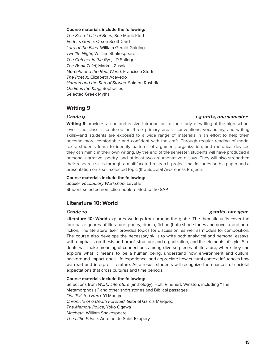#### **Course materials include the following:**

The Secret LIfe of Bees, Sue Monk Kidd Ender's Game, Orson Scott Card Lord of the Flies, William Gerald Golding Twelfth Night, William Shakespeare The Catcher in the Rye, JD Salinger The Book Thief, Markus Zusak Marcelo and the Real World, Francisco Stork The Poet X, Elizabeth Acevedo Haroun and the Sea of Stories, Salmon Rushdie Oedipus the King, Sophocles Selected Greek Myths

### **Writing 9**

#### *Grade 9 1.5 units, one semester*

**Writing 9** provides a comprehensive introduction to the study of writing at the high school level. The class is centered on three primary areas—conventions, vocabulary, and writing skills—and students are exposed to a wide range of materials in an effort to help them become more comfortable and confident with the craft. Through regular reading of model texts, students learn to identify patterns of argument, organization, and rhetorical devices they can mimic in their own writing. By the end of the semester, students will have produced a personal narrative, poetry, and at least two argumentative essays. They will also strengthen their research skills through a multifaceted research project that includes both a paper and a presentation on a self-selected topic (the Societal Awareness Project).

#### **Course materials include the following:**

Sadlier Vocabulary Workshop, Level E Student-selected nonfiction book related to the SAP

### **Literature 10: World**

**Literature 10: World** explores writings from around the globe. The thematic units cover the four basic genres of literature: poetry, drama, fiction (both short stories and novels), and nonfiction. The literature itself provides topics for discussion, as well as models for composition. The course also develops the necessary skills to write both analytical and personal essays, with emphasis on thesis and proof, structure and organization, and the elements of style. Students will make meaningful connections among diverse pieces of literature, where they can explore what it means to be a human being, understand how environment and cultural background impact one's life experience, and appreciate how cultural context influences how we read and interpret literature. As a result, students will recognize the nuances of societal expectations that cross cultures and time periods.

#### **Course materials include the following:**

Selections from World Literature (anthology), Holt, Rinehart, Winston, including "The Metamorphosis," and other short stories and Biblical passages Our Twisted Hero, Yi Mun-yol Chronicle of a Death Foretold, Gabriel Garcia Marquez The Memory Police, Yoko Ogawa Macbeth, William Shakespeare The Little Prince, Antoine de Saint-Exupery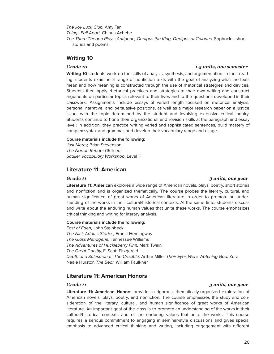The Joy Luck Club, Amy Tan

Things Fall Apart, Chinua Achebe

The Three Theban Plays: Antigone, Oedipus the King, Oedipus at Colonus, Sophocles short stories and poems

### **Writing 10**

#### *Grade 10 1.5 units, one semester*

**Writing 10** students work on the skills of analysis, synthesis, and argumentation. In their reading, students examine a range of nonfiction texts with the goal of analyzing what the texts mean and how meaning is constructed through the use of rhetorical strategies and devices. Students then apply rhetorical practices and strategies to their own writing and construct arguments on particular topics relevant to their lives and to the questions developed in their classwork. Assignments include essays of varied length focused on rhetorical analysis, personal narrative, and persuasive positions, as well as a major research paper on a justice issue, with the topic determined by the student and involving extensive critical inquiry. Students continue to hone their organizational and revision skills at the paragraph and essay level; in addition, they practice writing varied and sophisticated sentences, build mastery of complex syntax and grammar, and develop their vocabulary range and usage.

#### **Course materials include the following:**

Just Mercy, Brian Stevenson The Norton Reader (15th ed.) Sadlier Vocabulary Workshop, Level F

### **Literature 11: American**

#### **Literature 11: American** explores a wide range of American novels, plays, poetry, short stories and nonfiction and is organized thematically. The course probes the literary, cultural, and human significance of great works of American literature in order to promote an understanding of the works in their cultural/historical contexts. At the same time, students discuss and write about the enduring human values that unite these works. The course emphasizes critical thinking and writing for literary analysis.

#### **Course materials include the following:**

East of Eden, John Steinbeck The Nick Adams Stories, Ernest Hemingway The Glass Menagerie, Tennessee Williams The Adventures of Huckleberry Finn, Mark Twain The Great Gatsby, F. Scott Fitzgerald Death of a Salesman or The Crucible, Arthur Miller Their Eyes Were Watching God, Zora Neale Hurston The Bear, William Faulkner

### **Literature 11: American Honors**

#### **Literature 11: American Honors** provides a rigorous, thematically-organized exploration of American novels, plays, poetry, and nonfiction. The course emphasizes the study and consideration of the literary, cultural, and human significance of great works of American literature. An important goal of the class is to promote an understanding of the works in their cultural/historical contexts and of the enduring values that unite the works. This course requires a serious commitment to engaging in seminar-style discussions and gives special emphasis to advanced critical thinking and writing, including engagement with different

#### *Grade 11 3 units, one year*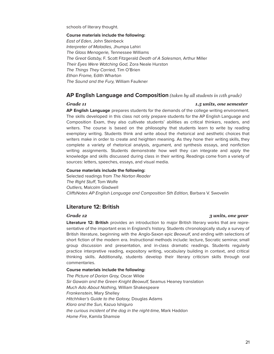schools of literary thought.

#### **Course materials include the following:**

East of Eden, John Steinbeck Interpreter of Maladies, Jhumpa Lahiri The Glass Menagerie, Tennessee Williams The Great Gatsby, F. Scott Fitzgerald Death of A Salesman, Arthur Miller Their Eyes Were Watching God, Zora Neale Hurston The Things They Carried, Tim O'Brien Ethan Frome, Edith Wharton The Sound and the Fury, William Faulkner

#### **AP English Language and Composition** *(taken by all students in 11th grade)*

#### *Grade 11 1.5 units, one semester*

**AP English Language** prepares students for the demands of the college writing environment. The skills developed in this class not only prepare students for the AP English Language and Composition Exam, they also cultivate students' abilities as critical thinkers, readers, and writers. The course is based on the philosophy that students learn to write by reading exemplary writing. Students think and write about the rhetorical and aesthetic choices that writers make in order to create and heighten meaning. As they hone their writing skills, they complete a variety of rhetorical analysis, argument, and synthesis essays, and nonfiction writing assignments. Students demonstrate how well they can integrate and apply the knowledge and skills discussed during class in their writing. Readings come from a variety of sources: letters, speeches, essays, and visual media.

#### **Course materials include the following:**

Selected readings from The Norton Reader The Right Stuff, Tom Wolfe Outliers, Malcolm Gladwell CliffsNotes AP English Language and Composition 5th Edition, Barbara V. Swovelin

#### **Literature 12: British**

**Literature 12: British** provides an introduction to major British literary works that are representative of the important eras in England's history. Students chronologically study a survey of British literature, beginning with the Anglo-Saxon epic Beowulf, and ending with selections of short fiction of the modern era. Instructional methods include: lecture, Socratic seminar, small group discussion and presentation, and in-class dramatic readings. Students regularly practice interpretive reading, expository writing, vocabulary building in context, and critical thinking skills. Additionally, students develop their literary criticism skills through oral commentaries.

#### **Course materials include the following:**

The Picture of Dorian Gray, Oscar Wilde Sir Gawain and the Green Knight Beowulf, Seamus Heaney translation Much Ado About Nothing, William Shakespeare Frankenstein, Mary Shelley Hitchhiker's Guide to the Galaxy, Douglas Adams Klara and the Sun, Kazuo Ishiguro the curious incident of the dog in the night-time, Mark Haddon Home Fire, Kamila Shamsie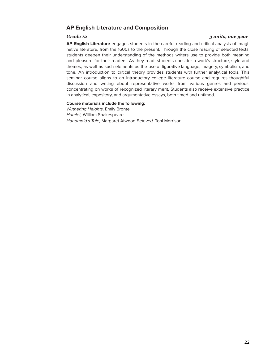### **AP English Literature and Composition**

#### *Grade 12 3 units, one year*

**AP English Literature** engages students in the careful reading and critical analysis of imaginative literature, from the 1600s to the present. Through the close reading of selected texts, students deepen their understanding of the methods writers use to provide both meaning and pleasure for their readers. As they read, students consider a work's structure, style and themes, as well as such elements as the use of figurative language, imagery, symbolism, and tone. An introduction to critical theory provides students with further analytical tools. This seminar course aligns to an introductory college literature course and requires thoughtful discussion and writing about representative works from various genres and periods, concentrating on works of recognized literary merit. Students also receive extensive practice in analytical, expository, and argumentative essays, both timed and untimed.

#### **Course materials include the following:**

Wuthering Heights, Emily Brontë Hamlet, William Shakespeare Handmaid's Tale, Margaret Atwood Beloved, Toni Morrison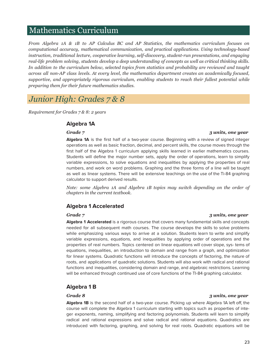## Mathematics Curriculum

*From Algebra 1A & 1B to AP Calculus BC and AP Statistics, the mathematics curriculum focuses on computational accuracy, mathematical communication, and practical applications. Using technology-based instruction, traditional lecture, cooperative learning, self-discovery, student-run presentations, and engaging* real-life problem solving, students develop a deep understanding of concepts as well as critical thinking skills. *In addition to the curriculum below, selected topics from statistics and probability are reviewed and taught across all non-AP class levels. At every level, the mathematics department creates an academically focused, supportive, and appropriately rigorous curriculum, enabling students to reach their fullest potential while preparing them for their future mathematics studies.*

## *Junior High: Grades 7 & 8*

*Requirement for Grades 7 & 8: 2 years*

### **Algebra 1A**

#### *Grade 7 3 units, one year*

**Algebra 1A** is the first half of a two-year course. Beginning with a review of signed integer operations as well as basic fraction, decimal, and percent skills, the course moves through the first half of the Algebra 1 curriculum applying skills learned in earlier mathematics courses. Students will define the major number sets, apply the order of operations, learn to simplify variable expressions, to solve equations and inequalities by applying the properties of real numbers, and work on word problems. Graphing and the three forms of a line will be taught as well as linear systems. There will be extensive teachings on the use of the Ti-84 graphing calculator to support derived results.

*Note: some Algebra 1A and Algebra 1B topics may switch depending on the order of chapters in the current textbook.*

### **Algebra 1 Accelerated**

**Algebra 1 Accelerated** is a rigorous course that covers many fundamental skills and concepts needed for all subsequent math courses. The course develops the skills to solve problems while emphasizing various ways to arrive at a solution. Students learn to write and simplify variable expressions, equations, and inequalities by applying order of operations and the properties of real numbers. Topics centered on linear equations will cover slope, sys- tems of equations, inequalities, an introduction to domain and range from a graph, and optimization for linear systems. Quadratic functions will introduce the concepts of factoring, the nature of roots, and applications of quadratic solutions. Students will also work with radical and rational functions and inequalities, considering domain and range, and algebraic restrictions. Learning will be enhanced through continued use of core functions of the TI-84 graphing calculator.

### **Algebra 1 B**

#### *Grade 8 3 units, one year*

**Algebra 1B** is the second half of a two-year course. Picking up where Algebra 1A left off, the course will complete the Algebra 1 curriculum starting with topics such as properties of integer exponents, naming, simplifying and factoring polynomials. Students will learn to simplify radical and rational expressions and solve radical and rational equations. Quadratics are introduced with factoring, graphing, and solving for real roots. Quadratic equations will be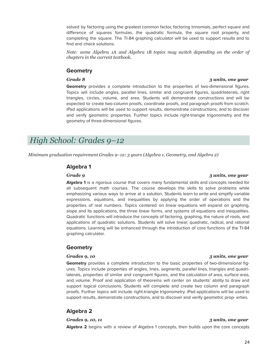solved by factoring using the greatest common factor, factoring trinomials, perfect square and difference of squares formulas, the quadratic formula, the square root property, and completing the square. The TI-84 graphing calculator will be used to support results and to find and check solutions.

*Note: some Algebra 1A and Algebra 1B topics may switch depending on the order of chapters in the current textbook.*

#### **Geometry**

#### *Grade 8 3 units, one year*

**Geometry** provides a complete introduction to the properties of two-dimensional figures. Topics will include angles, parallel lines, similar and congruent figures, quadrilaterals, right triangles, circles, volume, and area. Students will demonstrate constructions and will be expected to create two-column proofs, coordinate proofs, and paragraph proofs from scratch. iPad applications will be used to support results, demonstrate constructions, and to discover and verify geometric properties. Further topics include right-triangle trigonometry and the geometry of three-dimensional figures.

## *High School: Grades 9–12*

*Minimum graduation requirement Grades 9–12: 3 years (Algebra 1, Geometry, and Algebra 2)*

#### **Algebra 1**

#### *Grade 9 3 units, one year*

**Algebra 1** is a rigorous course that covers many fundamental skills and concepts needed for all subsequent math courses. The course develops the skills to solve problems while emphasizing various ways to arrive at a solution. Students learn to write and simplify variable expressions, equations, and inequalities by applying the order of operations and the properties of real numbers. Topics centered on linear equations will expand on graphing, slope and its applications, the three linear forms, and systems of equations and inequalities. Quadratic functions will introduce the concepts of factoring, graphing, the nature of roots, and applications of quadratic solutions. Students will solve linear, quadratic, radical, and rational equations. Learning will be enhanced through the introduction of core functions of the TI-84 graphing calculator.

#### **Geometry**

**Geometry** provides a complete introduction to the basic properties of two-dimensional figures. Topics include properties of angles, lines, segments, parallel lines, triangles and quadrilaterals, properties of similar and congruent figures, and the calculation of area, surface area, and volume. Proof and application of theorems will center on students' ability to draw and support logical conclusions. Students will complete and create two column and paragraph proofs. Further topics will include right-triangle trigonometry. iPad applications will be used to support results, demonstrate constructions, and to discover and verify geometric prop- erties.

### **Algebra 2**

#### *Grades 9, 10, 11 3 units, one year*

**Algebra 2** begins with a review of Algebra 1 concepts, then builds upon the core concepts

#### *Grades 9, 10 3 units, one year*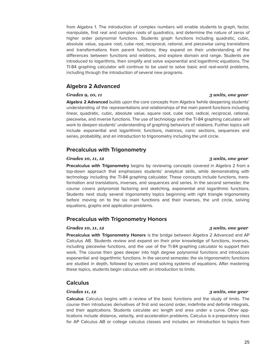25

from Algebra 1. The introduction of complex numbers will enable students to graph, factor, manipulate, find real and complex roots of quadratics, and determine the nature of zeros of higher order polynomial functions. Students graph functions including quadratic, cubic, absolute value, square root, cube root, reciprocal, rational, and piecewise using translations and transformations from parent functions; they expand on their understanding of the differences between functions and relations, and explore domain and range. Students are introduced to logarithms, then simplify and solve exponential and logarithmic equations. The TI-84 graphing calculator will continue to be used to solve basic and real-world problems, including through the introduction of several new programs.

### **Algebra 2 Advanced**

#### *Grades 9, 10, 11 3 units, one year*

**Algebra 2 Advanced** builds upon the core concepts from Algebra 1while deepening students' understanding of the representations and relationships of the main parent functions including linear, quadratic, cubic, absolute value, square root, cube root, radical, reciprocal, rational, piecewise, and inverse functions. The use of technology and the TI-84 graphing calculator will work to deepen students' understanding of graphing behaviors of relations. Further topics will include exponential and logarithmic functions, matrices, conic sections, sequences and series, probability, and an introduction to trigonometry including the unit circle.

### **Precalculus with Trigonometry**

#### *Grades 10, 11, 12 3 units, one year*

**Precalculus with Trigonometry** begins by reviewing concepts covered in Algebra 2 from a top-down approach that emphasizes students' analytical skills, while demonstrating with technology including the TI-84 graphing calculator. These concepts include functions, transformation and translations, inverses, and sequences and series. In the second semester, the course covers polynomial factoring and sketching, exponential and logarithmic functions. Students next study several trigonometry topics beginning with right triangle trigonometry before moving on to the six main functions and their inverses, the unit circle, solving equations, graphs and application problems.

### **Precalculus with Trigonometry Honors**

#### *Grades 10, 11, 12 3 units, one year*

**Precalculus with Trigonometry Honors** is the bridge between Algebra 2 Advanced and AP Calculus AB. Students review and expand on their prior knowledge of functions, inverses, including piecewise functions, and the use of the TI-84 graphing calculator to support their work. The course then goes deeper into high degree polynomial functions and introduces exponential and logarithmic functions. In the second semester, the six trigonometric functions are studied in depth, followed by vectors and solving systems of equations. After mastering these topics, students begin calculus with an introduction to limits.

### **Calculus**

**Calculus** Calculus begins with a review of the basic functions and the study of limits. The course then introduces derivatives of first and second order, indefinite and definite integrals, and their applications. Students calculate arc length and area under a curve. Other applications include distance, velocity, and acceleration problems. Calculus is a preparatory class for AP Calculus AB or college calculus classes and includes an introduction to topics from

#### *Grades 11, 12 3 units, one year*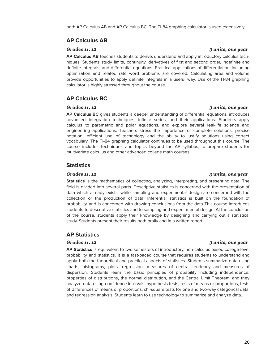both AP Calculus AB and AP Calculus BC. The TI-84 graphing calculator is used extensively.

### **AP Calculus AB**

**AP Calculus AB** teaches students to derive, understand and apply introductory calculus techniques. Students study limits, continuity, derivatives of first and second order, indefinite and definite integrals, and differential equations. Practical applications of differentiation, including optimization and related rate word problems are covered. Calculating area and volume provide opportunities to apply definite integrals in a useful way. Use of the TI-84 graphing calculator is highly stressed throughout the course.

### **AP Calculus BC**

#### *Grades 11, 12 3 units, one year*

**AP Calculus BC** gives students a deeper understanding of differential equations, introduces advanced integration techniques, infinite series, and their applications. Students apply calculus to parametric and polar equations, and explore several real-life science and engineering applications. Teachers stress the importance of complete solutions, precise notation, efficient use of technology and the ability to justify solutions using correct vocabulary. The TI-84 graphing calculator continues to be used throughout this course. The course includes techniques and topics beyond the AP syllabus, to prepare students for multivariate calculus and other advanced college math courses..

### **Statistics**

#### **Statistics** is the mathematics of collecting, analyzing, interpreting, and presenting data. The field is divided into several parts. Descriptive statistics is concerned with the presentation of data which already exists, while sampling and experimental design are concerned with the collection or the production of data. Inferential statistics is built on the foundation of probability and is concerned with drawing conclusions from the data This course introduces students to descriptive statistics and to sampling and experi- mental design. At the conclusion of the course, students apply their knowledge by designing and carrying out a statistical study. Students present their results both orally and in a written report.

### **AP Statistics**

#### *Grades 11, 12 3 units, one year*

**AP Statistics** is equivalent to two semesters of introductory, non-calculus based college-level probability and statistics. It is a fast-paced course that requires students to understand and apply both the theoretical and practical aspects of statistics. Students summarize data using charts, histograms, plots, regression, measures of central tendency and measures of dispersion. Students learn the basic principles of probability including independence, properties of distributions, the normal distribution, and the Central Limit Theorem, and they analyze data using confidence intervals, hypothesis tests, tests of means or proportions, tests of differences of means or proportions, chi-square tests for one and two-way categorical data, and regression analysis. Students learn to use technology to summarize and analyze data.

#### *Grades 11, 12 3 units, one year*

#### *Grades 11, 12 3 units, one year*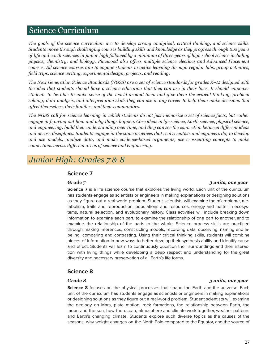## Science Curriculum

*The goals of the science curriculum are to develop strong analytical, critical thinking, and science skills. Students move through challenging courses building skills and knowledge as they progress through two years* of life and earth sciences in junior high followed by a minimum of three years of high school science including *physics, chemistry, and biology. Pinewood also of ers multiple science electives and Advanced Placement courses. All science courses aim to engage students in active learning through regular labs, group activities, field trips, science writing, experimental design, projects, and reading.*

*The Next Generation Science Standards (NGSS) are a set of science standards for grades K–12 designed with* the idea that students should have a science education that they can use in their lives. It should empower students to be able to make sense of the world around them and give them the critical thinking, problem solving, data analysis, and interpretation skills they can use in any career to help them make decisions that *af ect themselves, their families, and their communities.*

The NGSS call for science learning in which students do not just memorize a set of science facts, but rather engage in figuring out how and why things happen. Core ideas in life science, Earth science, physical science, and engineering, build their understanding over time, and they can see the connection between different ideas and across disciplines. Students engage in the same practices that real scientists and engineers do; to develop *and use models, analyze data, and make evidence-based arguments, use crosscutting concepts to make connections across dif erent areas of science and engineering.*

## *Junior High: Grades 7 & 8*

#### **Science 7**

#### *Grade 7 3 units, one year*

**Science 7** is a life science course that explores the living world. Each unit of the curriculum has students engage as scientists or engineers in making explanations or designing solutions as they figure out a real-world problem. Student scientists will examine the microbiome, metabolism, traits and reproduction, populations and resources, energy and matter in ecosystems, natural selection, and evolutionary history. Class activities will include breaking down information to examine each part, to examine the relationship of one part to another, and to examine the relationship of the parts to the whole. Science process skills are practiced through making inferences, constructing models, recording data, observing, naming and labeling, comparing and contrasting. Using their critical thinking skills, students will combine pieces of information in new ways to better develop their synthesis ability and identify cause and effect. Students will learn to continuously question their surroundings and their interaction with living things while developing a deep respect and understanding for the great diversity and necessary preservation of all Earth's life forms.

#### **Science 8**

**Science 8** focuses on the physical processes that shape the Earth and the universe. Each unit of the curriculum has students engage as scientists or engineers in making explanations or designing solutions as they figure out a real-world problem. Student scientists will examine the geology on Mars, plate motion, rock formations, the relationship between Earth, the moon and the sun, how the ocean, atmosphere and climate work together, weather patterns and Earth's changing climate. Students explore such diverse topics as the causes of the seasons, why weight changes on the North Pole compared to the Equator, and the source of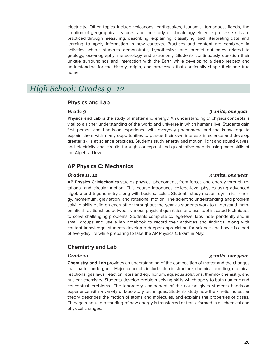electricity. Other topics include volcanoes, earthquakes, tsunamis, tornadoes, floods, the creation of geographical features, and the study of climatology. Science process skills are practiced through measuring, describing, explaining, classifying, and interpreting data, and learning to apply information in new contexts. Practices and content are combined in activities where students demonstrate, hypothesize, and predict outcomes related to geology, oceanography, meteorology and astronomy. Students continuously question their unique surroundings and interaction with the Earth while developing a deep respect and understanding for the history, origin, and processes that continually shape their one true home.

## *High School: Grades 9–12*

#### **Physics and Lab**

#### *Grade 9 3 units, one year*

**Physics and Lab** is the study of matter and energy. An understanding of physics concepts is vital to a richer understanding of the world and universe in which humans live. Students gain first person and hands-on experience with everyday phenomena and the knowledge to explain them with many opportunities to pursue their own interests in science and develop greater skills at science practices. Students study energy and motion, light and sound waves, and electricity and circuits through conceptual and quantitative models using math skills at the Algebra 1 level.

### **AP Physics C: Mechanics**

#### *Grades 11, 12 3 units, one year*

**AP Physics C: Mechanics** studies physical phenomena, from forces and energy through rotational and circular motion. This course introduces college-level physics using advanced algebra and trigonometry along with basic calculus. Students study motion, dynamics, energy, momentum, gravitation, and rotational motion. The scientific understanding and problem solving skills build on each other throughout the year as students work to understand mathematical relationships between various physical quantities and use sophisticated techniques to solve challenging problems. Students complete college-level labs inde- pendently and in small groups and use a lab notebook to record their activities and findings. Along with content knowledge, students develop a deeper appreciation for science and how it is a part of everyday life while preparing to take the AP Physics C Exam in May.

### **Chemistry and Lab**

**Chemistry and Lab** provides an understanding of the composition of matter and the changes that matter undergoes. Major concepts include atomic structure, chemical bonding, chemical reactions, gas laws, reaction rates and equilibrium, aqueous solutions, thermo- chemistry, and nuclear chemistry. Students develop problem solving skills which apply to both numeric and conceptual problems. The laboratory component of the course gives students hands-on experience with a variety of laboratory techniques. Students study how the kinetic molecular theory describes the motion of atoms and molecules, and explains the properties of gases. They gain an understanding of how energy is transferred or trans- formed in all chemical and physical changes.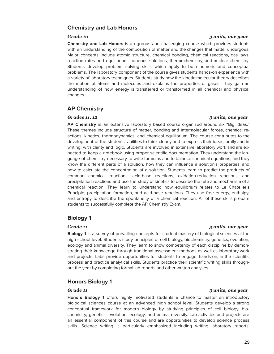### **Chemistry and Lab Honors**

#### **Chemistry and Lab Honors** is a rigorous and challenging course which provides students with an understanding of the composition of matter and the changes that matter undergoes. Major concepts include atomic structure, chemical bonding, chemical reactions, gas laws, reaction rates and equilibrium, aqueous solutions, thermochemistry, and nuclear chemistry. Students develop problem solving skills which apply to both numeric and conceptual problems. The laboratory component of the course gives students hands-on experience with a variety of laboratory techniques. Students study how the kinetic molecular theory describes the motion of atoms and molecules and explains the properties of gases. They gain an understanding of how energy is transferred or transformed in all chemical and physical changes.

### **AP Chemistry**

#### *Grades 11, 12 3 units, one year*

**AP Chemistry** is an extensive laboratory based course organized around six "Big Ideas." These themes include structure of matter, bonding and intermolecular forces, chemical reactions, kinetics, thermodynamics, and chemical equilibrium. The course contributes to the development of the students' abilities to think clearly and to express their ideas, orally and in writing, with clarity and logic. Students are involved in extensive laboratory work and are expected to keep a notebook using proper scientific documentation. They understand the language of chemistry necessary to write formulas and to balance chemical equations, and they know the different parts of a solution, how they can influence a solution's properties, and how to calculate the concentration of a solution. Students learn to predict the products of common chemical reactions: acid-base reactions, oxidation-reduction reactions, and precipitation reactions and use the study of kinetics to describe the rate and mechanism of a chemical reaction. They learn to understand how equilibrium relates to Le Chatelier's Principle, precipitation formation, and acid-base reactions. They use free energy, enthalpy, and entropy to describe the spontaneity of a chemical reaction. All of these skills prepare students to successfully complete the AP Chemistry Exam.

### **Biology 1**

**Biology 1** is a survey of prevailing concepts for student mastery of biological sciences at the high school level. Students study principles of cell biology, biochemistry, genetics, evolution, ecology and animal diversity. They learn to show competency of each discipline by demonstrating their knowledge through traditional assessment methods as well as laboratory work and projects. Labs provide opportunities for students to engage, hands-on, in the scientific process and practice analytical skills. Students practice their scientific writing skills throughout the year by completing formal lab reports and other written analyses.

### **Honors Biology 1**

#### *Grade 11 3 units, one year*

**Honors Biology 1** offers highly motivated students a chance to master an introductory biological sciences course at an advanced high school level. Students develop a strong conceptual framework for modern biology by studying principles of cell biology, biochemistry, genetics, evolution, ecology, and animal diversity. Lab activities and projects are an essential component of this course and are opportunities to develop science process skills. Science writing is particularly emphasized including writing laboratory reports,

#### *Grade 11 3 units, one year*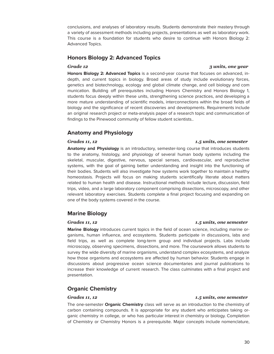conclusions, and analyses of laboratory results. Students demonstrate their mastery through a variety of assessment methods including projects, presentations as well as laboratory work. This course is a foundation for students who desire to continue with Honors Biology 2: Advanced Topics.

### **Honors Biology 2: Advanced Topics**

**Honors Biology 2: Advanced Topics** is a second-year course that focuses on advanced, indepth, and current topics in biology. Broad areas of study include evolutionary forces, genetics and biotechnology, ecology and global climate change, and cell biology and com munication. Building off prerequisites including Honors Chemistry and Honors Biology 1, students focus deeply within these units, strengthening science practices, and developing a more mature understanding of scientific models, interconnections within the broad fields of biology and the significance of recent discoveries and developments. Requirements include an original research project or meta-analysis paper of a research topic and communication of findings to the Pinewood community of fellow student scientists..

## **Anatomy and Physiology**

### *Grades 11, 12 1.5 units, one semester*

**Anatomy and Physiology** is an introductory, semester-long course that introduces students to the anatomy, histology, and physiology of several human body systems including the skeletal, muscular, digestive, nervous, special senses, cardiovascular, and reproductive systems, with the goal of gaining better understanding and insight into the functioning of their bodies. Students will also investigate how systems work together to maintain a healthy homeostasis. Projects will focus on making students scientifically literate about matters related to human health and disease. Instructional methods include lecture, discussion, field trips, video, and a large laboratory component comprising dissections, microscopy, and other relevant laboratory exercises. Students complete a final project focusing and expanding on one of the body systems covered in the course.

## **Marine Biology**

**Marine Biology** introduces current topics in the field of ocean science, including marine organisms, human influence, and ecosystems. Students participate in discussions, labs and field trips, as well as complete long-term group and individual projects. Labs include microscopy, observing specimens, dissections, and more. The coursework allows students to survey the wide diversity of marine organisms, understand complex ecosystems, and analyze how those organisms and ecosystems are affected by human behavior. Students engage in discussions about progressive ocean science documentaries and journal publications to increase their knowledge of current research. The class culminates with a final project and presentation.

## **Organic Chemistry**

### *Grades 11, 12 1.5 units, one semester*

The one-semester **Organic Chemistry** class will serve as an introduction to the chemistry of carbon containing compounds. It is appropriate for any student who anticipates taking organic chemistry in college, or who has particular interest in chemistry or biology. Completion of Chemistry or Chemistry Honors is a prerequisite. Major concepts include nomenclature,

#### *Grades 11, 12 1.5 units, one semester*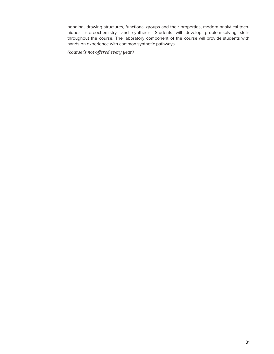bonding, drawing structures, functional groups and their properties, modern analytical techniques, stereochemistry, and synthesis. Students will develop problem-solving skills throughout the course. The laboratory component of the course will provide students with hands-on experience with common synthetic pathways.

*(course is not of ered every year)*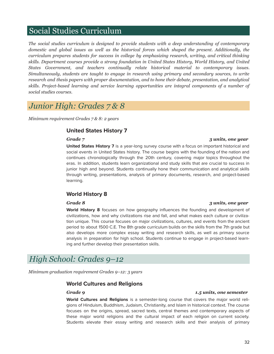## Social Studies Curriculum

*The social studies curriculum is designed to provide students with a deep understanding of contemporary domestic and global issues as well as the historical forces which shaped the present. Additionally, the curriculum prepares students for success in college by emphasizing research, writing, and critical thinking skills. Department courses provide a strong foundation in United States History, World History, and United States Government, and teachers continually relate historical material to contemporary issues. Simultaneously, students are taught to engage in research using primary and secondary sources, to write research and thesis papers with proper documentation, and to hone their debate, presentation, and analytical skills. Project-based learning and service learning opportunities are integral components of a number of social studies courses.*

## *Junior High: Grades 7 & 8*

*Minimum requirement Grades 7 & 8: 2 years*

#### **United States History 7**

#### *Grade 7 3 units, one year*

**United States History 7** is a year-long survey course with a focus on important historical and social events in United States history. The course begins with the founding of the nation and continues chronologically through the 20th century, covering major topics throughout the eras. In addition, students learn organizational and study skills that are crucial to success in junior high and beyond. Students continually hone their communication and analytical skills through writing, presentations, analysis of primary documents, research, and project-based learning.

### **World History 8**

#### *Grade 8 3 units, one year*

**World History 8** focuses on how geography influences the founding and development of civilizations, how and why civilizations rise and fall, and what makes each culture or civilization unique. This course focuses on major civilizations, cultures, and events from the ancient period to about 1500 C.E. The 8th grade curriculum builds on the skills from the 7th grade but also develops more complex essay writing and research skills, as well as primary source analysis in preparation for high school. Students continue to engage in project-based learning and further develop their presentation skills.

## *High School: Grades 9–12*

*Minimum graduation requirement Grades 9–12: 3 years*

### **World Cultures and Religions**

#### *Grade 9 1.5 units, one semester*

**World Cultures and Religions** is a semester-long course that covers the major world religions of Hinduism, Buddhism, Judaism, Christianity, and Islam in historical context. The course focuses on the origins, spread, sacred texts, central themes and contemporary aspects of these major world religions and the cultural impact of each religion on current society. Students elevate their essay writing and research skills and their analysis of primary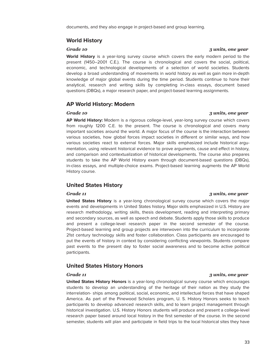documents, and they also engage in project-based and group learning.

### **World History**

#### *Grade 10 3 units, one year*

**World History** is a year-long survey course which covers the early modern period to the present (1450–2001 C.E.). The course is chronological and covers the social, political, economic, and technological developments of a selection of world societies. Students develop a broad understanding of movements in world history as well as gain more in-depth knowledge of major global events during the time period. Students continue to hone their analytical, research and writing skills by completing in-class essays, document based questions (DBQs), a major research paper, and project-based learning assignments.

### **AP World History: Modern**

#### *Grade 10 3 units, one year*

**AP World History:** Modern is a rigorous college-level, year-long survey course which covers from roughly 1200 C.E. to the present. The course is chronological and covers many important societies around the world. A major focus of the course is the interaction between various societies, how global forces impact societies in different or similar ways, and how various societies react to external forces. Major skills emphasized include historical argumentation, using relevant historical evidence to prove arguments, cause and effect in history, and comparison and contextualization of historical developments. The course also prepares students to take the AP World History exam through document-based questions (DBQs), in-class essays, and multiple-choice exams. Project-based learning augments the AP World History course.

### **United States History**

**United States History** is a year-long chronological survey course which covers the major events and developments in United States history. Major skills emphasized in U.S. History are research methodology, writing skills, thesis development, reading and interpreting primary and secondary sources, as well as speech and debate. Students apply those skills to produce and present a college-level research paper in the second semester of the course. Project-based learning and group projects are interwoven into the curriculum to incorporate 21st century technology skills and foster collaboration. Class participants are encouraged to put the events of history in context by considering conflicting viewpoints. Students compare past events to the present day to foster social awareness and to become active political participants.

### **United States History Honors**

**United States History Honors** is a year-long chronological survey course which encourages students to develop an understanding of the heritage of their nation as they study the interrelation- ships among political, social, economic, and intellectual forces that have shaped America. As part of the Pinewood Scholars program, U. S. History Honors seeks to teach participants to develop advanced research skills, and to learn project management through historical investigation. U.S. History Honors students will produce and present a college-level research paper based around local history in the first semester of the course. In the second semester, students will plan and participate in field trips to the local historical sites they have

#### *Grade 11 3 units, one year*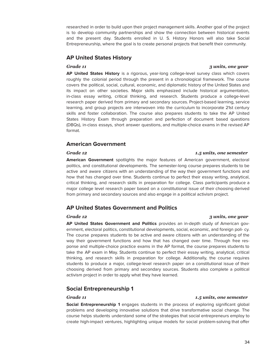researched in order to build upon their project management skills. Another goal of the project is to develop community partnerships and show the connection between historical events and the present day. Students enrolled in U. S. History Honors will also take Social Entrepreneurship, where the goal is to create personal projects that benefit their community.

#### **AP United States History**

#### *Grade 11 3 units, one year*

**AP United States History** is a rigorous, year-long college-level survey class which covers roughly the colonial period through the present in a chronological framework. The course covers the political, social, cultural, economic, and diplomatic history of the United States and its impact on other societies. Major skills emphasized include historical argumentation, in-class essay writing, critical thinking, and research. Students produce a college-level research paper derived from primary and secondary sources. Project-based learning, service learning, and group projects are interwoven into the curriculum to incorporate 21st century skills and foster collaboration. The course also prepares students to take the AP United States History Exam through preparation and perfection of document based questions (DBQs), in-class essays, short answer questions, and multiple-choice exams in the revised AP format.

### **American Government**

#### *Grade 12 1.5 units, one semester*

**American Government** spotlights the major features of American government, electoral politics, and constitutional developments. The semester-long course prepares students to be active and aware citizens with an understanding of the way their government functions and how that has changed over time. Students continue to perfect their essay writing, analytical, critical thinking, and research skills in preparation for college. Class participants produce a major college level research paper based on a constitutional issue of their choosing derived from primary and secondary sources and also engage in a political activism project.

### **AP United States Government and Politics**

**AP United States Government and Politics** provides an in-depth study of American government, electoral politics, constitutional developments, social, economic, and foreign poli- cy. The course prepares students to be active and aware citizens with an understanding of the way their government functions and how that has changed over time. Through free response and multiple-choice practice exams in the AP format, the course prepares students to take the AP exam in May. Students continue to perfect their essay writing, analytical, critical thinking, and research skills in preparation for college. Additionally, the course requires students to produce a major, college-level research paper on a constitutional issue of their choosing derived from primary and secondary sources. Students also complete a political activism project in order to apply what they have learned.

### **Social Entrepreneurship 1**

#### *Grade 11 1.5 units, one semester*

**Social Entrepreneurship 1** engages students in the process of exploring significant global problems and developing innovative solutions that drive transformative social change. The course helps students understand some of the strategies that social entrepreneurs employ to create high-impact ventures, highlighting unique models for social problem-solving that offer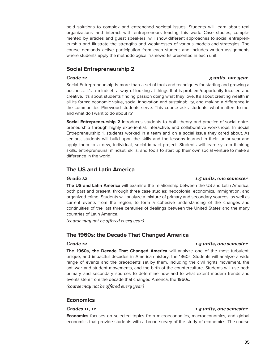bold solutions to complex and entrenched societal issues. Students will learn about real organizations and interact with entrepreneurs leading this work. Case studies, complemented by articles and guest speakers, will show different approaches to social entrepreneurship and illustrate the strengths and weaknesses of various models and strategies. The course demands active participation from each student and includes written assignments where students apply the methodological frameworks presented in each unit.

### **Social Entrepreneurship 2**

#### *Grade 12 3 units, one year*

Social Entrepreneurship is more than a set of tools and techniques for starting and growing a business. It's a mindset, a way of looking at things that is problem/opportunity focused and creative. It's about students finding passion doing what they love. It's about creating wealth in all its forms: economic value, social innovation and sustainability, and making a difference in the communities Pinewood students serve. This course asks students: what matters to me, and what do I want to do about it?

**Social Entrepreneurship 2** introduces students to both theory and practice of social entrepreneurship through highly experiential, interactive, and collaborative workshops. In Social Entrepreneurship 1, students worked in a team and on a social issue they cared about. As seniors, students will build upon the skills and the lessons learned in their junior year and apply them to a new, individual, social impact project. Students will learn system thinking skills, entrepreneurial mindset, skills, and tools to start up their own social venture to make a difference in the world.

### **The US and Latin America**

#### *Grade 12 1.5 units, one semester*

**The US and Latin America** will examine the relationship between the US and Latin America, both past and present, through three case studies: neocolonial economics, immigration, and organized crime. Students will analyze a mixture of primary and secondary sources, as well as current events from the region, to form a cohesive understanding of the changes and continuities of the last three centuries of dealings between the United States and the many countries of Latin America.

*(course may not be of ered every year)*

### **The 1960s: the Decade That Changed America**

#### *Grade 12 1.5 units, one semester*

**The 1960s, the Decade That Changed America** will analyze one of the most turbulent, unique, and impactful decades in American history: the 1960s. Students will analyze a wide range of events and the precedents set by them, including the civil rights movement, the anti-war and student movements, and the birth of the counterculture. Students will use both primary and secondary sources to determine how and to what extent modern trends and events stem from the decade that changed America, the 1960s.

*(course may not be of ered every year)*

### **Economics**

#### *Grades 11, 12 1.5 units, one semester*

**Economics** focuses on selected topics from microeconomics, macroeconomics, and global economics that provide students with a broad survey of the study of economics. The course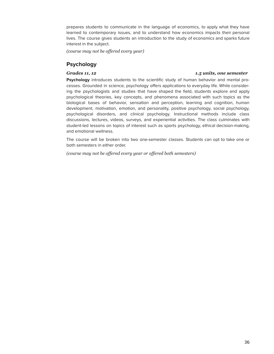prepares students to communicate in the language of economics, to apply what they have learned to contemporary issues, and to understand how economics impacts their personal lives. The course gives students an introduction to the study of economics and sparks future interest in the subject.

*(course may not be of ered every year)*

### **Psychology**

#### *Grades 11, 12 1.5 units, one semester*

**Psychology** introduces students to the scientific study of human behavior and mental processes. Grounded in science, psychology offers applications to everyday life. While considering the psychologists and studies that have shaped the field, students explore and apply psychological theories, key concepts, and phenomena associated with such topics as the biological bases of behavior, sensation and perception, learning and cognition, human development, motivation, emotion, and personality, positive psychology, social psychology, psychological disorders, and clinical psychology. Instructional methods include class discussions, lectures, videos, surveys, and experiential activities. The class culminates with student-led lessons on topics of interest such as sports psychology, ethical decision-making, and emotional wellness.

The course will be broken into two one-semester classes. Students can opt to take one or both semesters in either order.

*(course may not be of ered every year or of ered both semesters)*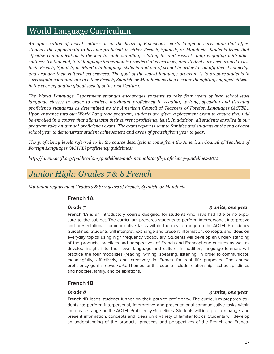## World Language Curriculum

*An appreciation of world cultures is at the heart of Pinewood's world language curriculum that of ers students the opportunity to become proficient in either French, Spanish, or Mandarin. Students learn that ef ective communication is the key to understanding, relating to, and respect- fully engaging with other* cultures. To that end, total language immersion is practiced at every level, and students are encouraged to use their French, Spanish, or Mandarin language skills in and out of school in order to solidify their knowledge *and broaden their cultural experiences. The goal of the world language program is to prepare students to successfully communicate in either French, Spanish, or Mandarin as they become thoughtful, engaged citizens in the ever expanding global society of the 21st Century.*

*The World Language Department strongly encourages students to take four years of high school level language classes in order to achieve maximum proficiency in reading, writing, speaking and listening proficiency standards as determined by the American Council of Teachers of Foreign Languages (ACTFL). Upon entrance into our World Language program, students are given a placement exam to ensure they will* be enrolled in a course that aligns with their current proficiency level. In addition, all students enrolled in our program take an annual proficiency exam. The exam report is sent to families and students at the end of each *school year to demonstrate student achievement and areas of growth from year to year.*

The proficiency levels referred to in the course descriptions come from the American Council of Teachers of *Foreign Languages (ACTFL) proficiency guidelines:*

*<http://www.actfl.org/publications/guidelines-and-manuals/actfl-proficiency-guidelines-2012>*

## *Junior High: Grades 7 & 8 French*

*Minimum requirement Grades 7 & 8: 2 years of French, Spanish, or Mandarin*

### **French 1A**

**French 1A** is an introductory course designed for students who have had little or no exposure to the subject. The curriculum prepares students to perform interpersonal, interpretive and presentational communicative tasks within the novice range on the ACTFL Proficiency Guidelines. Students will interpret, exchange and present information, concepts and ideas on everyday topics using high frequency vocabulary. Students will develop an under- standing of the products, practices and perspectives of French and Francophone cultures as well as develop insight into their own language and culture. In addition, language learners will practice the four modalities (reading, writing, speaking, listening) in order to communicate, meaningfully, effectively, and creatively in French for real life purposes. The course proficiency goal is novice mid. Themes for this course include relationships, school, pastimes and hobbies, family, and celebrations.

#### **French 1B**

**French 1B** leads students further on their path to proficiency. The curriculum prepares students to: perform interpersonal, interpretive and presentational communicative tasks within the novice range on the ACTFL Proficiency Guidelines. Students will interpret, exchange, and present information, concepts and ideas on a variety of familiar topics. Students will develop an understanding of the products, practices and perspectives of the French and Franco-

#### *Grade 7 3 units, one year*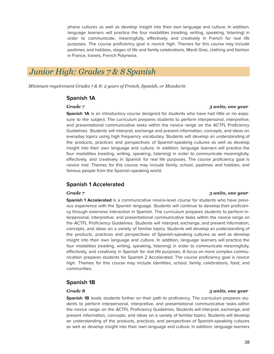phone cultures as well as develop insight into their own language and culture. In addition, language learners will practice the four modalities (reading, writing, speaking, listening) in order to communicate, meaningfully, effectively, and creatively in French for real life purposes. The course proficiency goal is novice high. Themes for this course may include pastimes and hobbies, stages of life and family celebrations, Mardi Gras, clothing and fashion in France, travels, French Polynesia.

## *Junior High: Grades 7 & 8 Spanish*

*Minimum requirement Grades 7 & 8: 2 years of French, Spanish, or Mandarin*

#### **Spanish 1A**

#### *Grade 7 3 units, one year*

**Spanish 1A** is an introductory course designed for students who have had little or no exposure to the subject. The curriculum prepares students to perform interpersonal, interpretive, and presentational communicative tasks within the novice range on the ACTFL Proficiency Guidelines. Students will interpret, exchange and present information, concepts, and ideas on everyday topics using high frequency vocabulary. Students will develop an understanding of the products, practices and perspectives of Spanish-speaking cultures as well as develop insight into their own language and culture. In addition, language learners will practice the four modalities (reading, writing, speaking, listening) in order to communicate meaningfully, effectively, and creatively in Spanish for real life purposes. The course proficiency goal is novice mid. Themes for this course may include family, school, pastimes and hobbies, and famous people from the Spanish-speaking world.

#### **Spanish 1 Accelerated**

**Spanish 1 Accelerated** is a communicative novice-level course for students who have previous experience with the Spanish language. Students will continue to develop their proficiency through extensive interaction in Spanish. The curriculum prepares students to perform interpersonal, interpretive, and presentational communicative tasks within the novice range on the ACTFL Proficiency Guidelines. Students will interpret, exchange, and present information, concepts, and ideas on a variety of familiar topics. Students will develop an understanding of the products, practices and perspectives of Spanish-speaking cultures as well as develop insight into their own language and culture. In addition, language learners will practice the four modalities (reading, writing, speaking, listening) in order to communicate meaningfully, effectively, and creatively in Spanish for real life purposes. A focus on more complex communication prepares students for Spanish 2 Accelerated. The course proficiency goal is novice high. Themes for this course may include identities, school, family, celebrations, food, and communities.

#### **Spanish 1B**

**Spanish 1B** leads students further on their path to proficiency. The curriculum prepares students to perform interpersonal, interpretive, and presentational communicative tasks within the novice range on the ACTFL Proficiency Guidelines. Students will interpret, exchange, and present information, concepts, and ideas on a variety of familiar topics. Students will develop an understanding of the products, practices, and perspectives of Spanish-speaking cultures as well as develop insight into their own language and culture. In addition, language learners

#### *Grade 7 3 units, one year*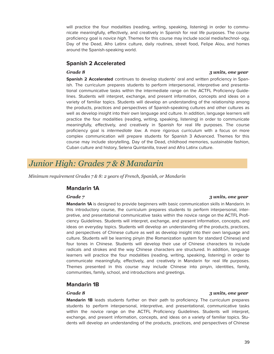will practice the four modalities (reading, writing, speaking, listening) in order to communicate meaningfully, effectively, and creatively in Spanish for real life purposes. The course proficiency goal is novice high. Themes for this course may include social media/technol- ogy, Day of the Dead, Afro Latinx culture, daily routines, street food, Felipe Alou, and homes around the Spanish-speaking world.

### **Spanish 2 Accelerated**

#### *Grade 8 3 units, one year*

**Spanish 2 Accelerated** continues to develop students' oral and written proficiency in Spanish. The curriculum prepares students to perform interpersonal, interpretive and presentational communicative tasks within the intermediate range on the ACTFL Proficiency Guidelines. Students will interpret, exchange, and present information, concepts and ideas on a variety of familiar topics. Students will develop an understanding of the relationship among the products, practices and perspectives of Spanish-speaking cultures and other cultures as well as develop insight into their own language and culture. In addition, language learners will practice the four modalities (reading, writing, speaking, listening) in order to communicate meaningfully, effectively, and creatively in Spanish for real life purposes. The course proficiency goal is intermediate low. A more rigorous curriculum with a focus on more complex communication will prepare students for Spanish 3 Advanced. Themes for this course may include storytelling, Day of the Dead, childhood memories, sustainable fashion, Cuban culture and history, Selena Quintanilla, travel and Afro Latinx culture.

## *Junior High: Grades 7 & 8 Mandarin*

*Minimum requirement Grades 7 & 8: 2 years of French, Spanish, or Mandarin*

#### **Mandarin 1A**

#### **Mandarin 1A** is designed to provide beginners with basic communication skills in Mandarin. In this introductory course, the curriculum prepares students to perform interpersonal, interpretive, and presentational communicative tasks within the novice range on the ACTFL Proficiency Guidelines. Students will interpret, exchange, and present information, concepts, and ideas on everyday topics. Students will develop an understanding of the products, practices, and perspectives of Chinese culture as well as develop insight into their own language and culture. Students will be learning pinyin (the Romanization system for standard Chinese) and four tones in Chinese. Students will develop their use of Chinese characters to include radicals and strokes and the way Chinese characters are structured. In addition, language learners will practice the four modalities (reading, writing, speaking, listening) in order to communicate meaningfully, effectively, and creatively in Mandarin for real life purposes. Themes presented in this course may include Chinese into pinyin, identities, family, communities, family, school, and introductions and greetings.

#### **Mandarin 1B**

**Mandarin 1B** leads students further on their path to proficiency. The curriculum prepares students to perform interpersonal, interpretive, and presentational, communicative tasks within the novice range on the ACTFL Proficiency Guidelines. Students will interpret, exchange, and present information, concepts, and ideas on a variety of familiar topics. Students will develop an understanding of the products, practices, and perspectives of Chinese

#### *Grade 7 3 units, one year*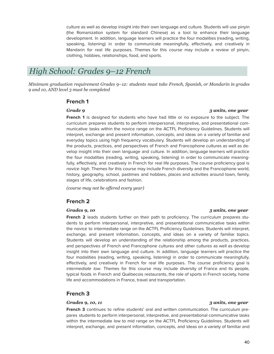culture as well as develop insight into their own language and culture. Students will use pinyin (the Romanization system for standard Chinese) as a tool to enhance their language development. In addition, language learners will practice the four modalities (reading, writing, speaking, listening) in order to communicate meaningfully, effectively, and creatively in Mandarin for real life purposes. Themes for this course may include a review of pinyin, clothing, hobbies, relationships, food, and sports.

## *High School: Grades 9–12 French*

*Minimum graduation requirement Grades 9–12: students must take French, Spanish, or Mandarin in grades 9 and 10, AND level 3 must be completed*

#### **French 1**

#### *Grade 9 3 units, one year*

**French 1** is designed for students who have had little or no exposure to the subject. The curriculum prepares students to perform interpersonal, interpretive, and presentational communicative tasks within the novice range on the ACTFL Proficiency Guidelines. Students will interpret, exchange and present information, concepts, and ideas on a variety of familiar and everyday topics using high frequency vocabulary. Students will develop an understanding of the products, practices, and perspectives of French and Francophone cultures as well as develop insight into their own language and culture. In addition, language learners will practice the four modalities (reading, writing, speaking, listening) in order to communicate meaningfully, effectively, and creatively in French for real life purposes. The course proficiency goal is novice high. Themes for this course may include French diversity and the Francophone world, history, geography, school, pastimes and hobbies, places and activities around town, family, stages of life, celebrations and fashion.

*(course may not be of ered every year)*

### **French 2**

#### *Grades 9, 10 3 units, one year*

**French 2** leads students further on their path to proficiency. The curriculum prepares students to perform interpersonal, interpretive, and presentational communicative tasks within the novice to intermediate range on the ACTFL Proficiency Guidelines. Students will interpret, exchange, and present information, concepts, and ideas on a variety of familiar topics. Students will develop an understanding of the relationship among the products, practices, and perspectives of French and Francophone cultures and other cultures as well as develop insight into their own language and culture. In addition, language learners will practice the four modalities (reading, writing, speaking, listening) in order to communicate meaningfully, effectively, and creatively in French for real life purposes. The course proficiency goal is intermediate low. Themes for this course may include diversity of France and its people, typical foods in French and Québecois restaurants, the role of sports in French society, home life and accommodations in France, travel and transportation.

### **French 3**

#### *Grades 9, 10, 11 3 units, one year*

**French 3** continues to refine students' oral and written communication. The curriculum prepares students to perform interpersonal, interpretive, and presentational communicative tasks within the intermediate low to mid range on the ACTFL Proficiency Guidelines. Students will interpret, exchange, and present information, concepts, and ideas on a variety of familiar and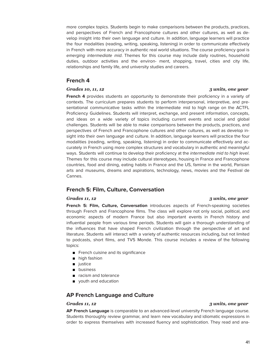more complex topics. Students begin to make comparisons between the products, practices, and perspectives of French and Francophone cultures and other cultures, as well as develop insight into their own language and culture. In addition, language learners will practice the four modalities (reading, writing, speaking, listening) in order to communicate effectively in French with more accuracy in authentic real world situations. The course proficiency goal is emerging intermediate mid. Themes for this course may include daily routines, household duties, outdoor activities and the environ- ment, shopping, travel, cities and city life, relationships and family life, and university studies and careers.

#### **French 4**

#### *Grades 10, 11, 12 3 units, one year*

#### **French 4** provides students an opportunity to demonstrate their proficiency in a variety of contexts. The curriculum prepares students to perform interpersonal, interpretive, and presentational communicative tasks within the intermediate mid to high range on the ACTFL Proficiency Guidelines. Students will interpret, exchange, and present information, concepts, and ideas on a wide variety of topics including current events and social and global challenges. Students will be able to make comparisons between the products, practices, and perspectives of French and Francophone cultures and other cultures, as well as develop insight into their own language and culture. In addition, language learners will practice the four modalities (reading, writing, speaking, listening) in order to communicate effectively and accurately in French using more complex structures and vocabulary in authentic and meaningful ways. Students will continue to develop their proficiency at the intermediate mid to high level. Themes for this course may include cultural stereotypes, housing in France and Francophone countries, food and dining, eating habits in France and the US, famine in the world, Parisian arts and museums, dreams and aspirations, technology, news, movies and the Festival de Cannes.

### **French 5: Film, Culture, Conversation**

#### *Grades 11, 12 3 units, one year*

**French 5: Film, Culture, Conversation** introduces aspects of French-speaking societies through French and Francophone films. The class will explore not only social, political, and economic aspects of modern France but also important events in French history and influential people from various time periods. Students will gain a thorough understanding of the influences that have shaped French civilization through the perspective of art and literature. Students will interact with a variety of authentic resources including, but not limited to podcasts, short films, and TV5 Monde. This course includes a review of the following topics:

- French cuisine and its significance
- high fashion
- justice
- business
- racism and tolerance
- youth and education

### **AP French Language and Culture**

#### *Grades 11, 12 3 units, one year*

**AP French Language** is comparable to an advanced-level university French language course. Students thoroughly review grammar, and learn new vocabulary and idiomatic expressions in order to express themselves with increased fluency and sophistication. They read and ana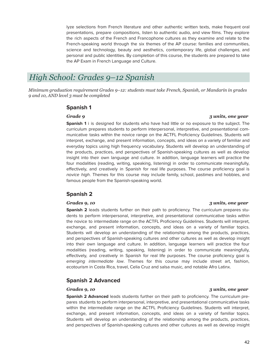lyze selections from French literature and other authentic written texts, make frequent oral presentations, prepare compositions, listen to authentic audio, and view films. They explore the rich aspects of the French and Francophone cultures as they examine and relate to the French-speaking world through the six themes of the AP course: families and communities, science and technology, beauty and aesthetics, contemporary life, global challenges, and personal and public identities. By completion of this course, the students are prepared to take the AP Exam in French Language and Culture.

## *High School: Grades 9–12 Spanish*

*Minimum graduation requirement Grades 9–12: students must take French, Spanish, or Mandarin in grades 9 and 10, AND level 3 must be completed*

### **Spanish 1**

#### *Grade 9 3 units, one year*

**Spanish 1** i is designed for students who have had little or no exposure to the subject. The curriculum prepares students to perform interpersonal, interpretive, and presentational communicative tasks within the novice range on the ACTFL Proficiency Guidelines. Students will interpret, exchange, and present information, concepts, and ideas on a variety of familiar and everyday topics using high frequency vocabulary. Students will develop an understanding of the products, practices, and perspectives of Spanish-speaking cultures as well as develop insight into their own language and culture. In addition, language learners will practice the four modalities (reading, writing, speaking, listening) in order to communicate meaningfully, effectively, and creatively in Spanish for real life purposes. The course proficiency goal is novice high. Themes for this course may include family, school, pastimes and hobbies, and famous people from the Spanish-speaking world.

### **Spanish 2**

**Spanish 2** leads students further on their path to proficiency. The curriculum prepares students to perform interpersonal, interpretive, and presentational communicative tasks within the novice to intermediate range on the ACTFL Proficiency Guidelines. Students will interpret, exchange, and present information, concepts, and ideas on a variety of familiar topics. Students will develop an understanding of the relationship among the products, practices, and perspectives of Spanish-speaking cultures and other cultures as well as develop insight into their own language and culture. In addition, language learners will practice the four modalities (reading, writing, speaking, listening) in order to communicate meaningfully, effectively, and creatively in Spanish for real life purposes. The course proficiency goal is emerging intermediate low. Themes for this course may include street art, fashion, ecotourism in Costa Rica, travel, Celia Cruz and salsa music, and notable Afro Latinx.

### **Spanish 2 Advanced**

#### *Grades 9, 10 3 units, one year*

**Spanish 2 Advanced** leads students further on their path to proficiency. The curriculum prepares students to perform interpersonal, interpretive, and presentational communicative tasks within the intermediate range on the ACTFL Proficiency Guidelines. Students will interpret, exchange, and present information, concepts, and ideas on a variety of familiar topics. Students will develop an understanding of the relationship among the products, practices, and perspectives of Spanish-speaking cultures and other cultures as well as develop insight

#### *Grades 9, 10 3 units, one year*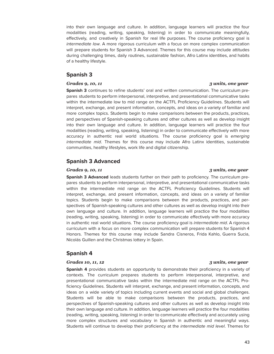into their own language and culture. In addition, language learners will practice the four modalities (reading, writing, speaking, listening) in order to communicate meaningfully, effectively, and creatively in Spanish for real life purposes. The course proficiency goal is intermediate low. A more rigorous curriculum with a focus on more complex communication will prepare students for Spanish 3 Advanced. Themes for this course may include attitudes during challenging times, daily routines, sustainable fashion, Afro Latinx identities, and habits of a healthy lifestyle.

#### **Spanish 3**

**Spanish 3** continues to refine students' oral and written communication. The curriculum prepares students to perform interpersonal, interpretive, and presentational communicative tasks within the intermediate low to mid range on the ACTFL Proficiency Guidelines. Students will interpret, exchange, and present information, concepts, and ideas on a variety of familiar and more complex topics. Students begin to make comparisons between the products, practices, and perspectives of Spanish-speaking cultures and other cultures as well as develop insight into their own language and culture. In addition, language learners will practice the four modalities (reading, writing, speaking, listening) in order to communicate effectively with more accuracy in authentic real world situations. The course proficiency goal is emerging intermediate mid. Themes for this course may include Afro Latinx identities, sustainable communities, healthy lifestyles, work life and digital citizenship.

### **Spanish 3 Advanced**

#### *Grades 9, 10, 11 3 units, one year*

#### **Spanish 3 Advanced** leads students further on their path to proficiency. The curriculum prepares students to perform interpersonal, interpretive, and presentational communicative tasks within the intermediate mid range on the ACTFL Proficiency Guidelines. Students will interpret, exchange, and present information, concepts, and ideas on a variety of familiar topics. Students begin to make comparisons between the products, practices, and perspectives of Spanish-speaking cultures and other cultures as well as develop insight into their own language and culture. In addition, language learners will practice the four modalities (reading, writing, speaking, listening) in order to communicate effectively with more accuracy in authentic real world situations. The course proficiency goal is *intermediate mid*. A rigorous curriculum with a focus on more complex communication will prepare students for Spanish 4 Honors. Themes for this course may include Sandra Cisneros, Frida Kahlo, Guerra Sucia, Nicolás Guillen and the Christmas lottery in Spain.

#### **Spanish 4**

**Spanish 4** provides students an opportunity to demonstrate their proficiency in a variety of contexts. The curriculum prepares students to perform interpersonal, interpretive, and presentational communicative tasks within the intermediate mid range on the ACTFL Proficiency Guidelines. Students will interpret, exchange, and present information, concepts, and ideas on a wide variety of topics including current events and social and global challenges. Students will be able to make comparisons between the products, practices, and perspectives of Spanish-speaking cultures and other cultures as well as develop insight into their own language and culture. In addition, language learners will practice the four modalities (reading, writing, speaking, listening) in order to communicate effectively and accurately using more complex structures and vocabulary in Spanish in authentic and meaningful ways. Students will continue to develop their proficiency at the intermediate mid level. Themes for

#### *Grades 10, 11, 12 3 units, one year*

#### *Grades 9, 10, 11 3 units, one year*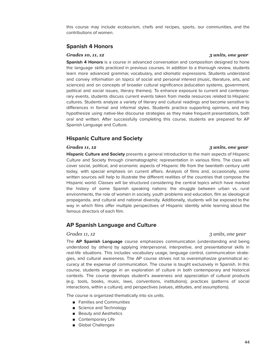this course may include ecotourism, chefs and recipes, sports, our communities, and the contributions of women.

### **Spanish 4 Honors**

#### *Grades 10, 11, 12 3 units, one year*

**Spanish 4 Honors** is a course in advanced conversation and composition designed to hone the language skills practiced in previous courses. In addition to a thorough review, students learn more advanced grammar, vocabulary, and idiomatic expressions. Students understand and convey information on topics of social and personal interest (music, literature, arts, and sciences) and on concepts of broader cultural significance (education systems, government, political and social issues, literary themes). To enhance exposure to current and contemporary events, students discuss current events taken from media resources related to Hispanic cultures. Students analyze a variety of literary and cultural readings and become sensitive to differences in formal and informal styles. Students practice supporting opinions, and they hypothesize using native-like discourse strategies as they make frequent presentations, both oral and written. After successfully completing this course, students are prepared for AP Spanish Language and Culture.

### **Hispanic Culture and Society**

**Hispanic Culture and Society** presents a general introduction to the main aspects of Hispanic Culture and Society through cinematographic representation in various films. The class will cover social, political, and economic aspects of Hispanic life from the twentieth century until today, with special emphasis on current affairs. Analysis of films and, occasionally, some written sources will help to illustrate the different realities of the countries that compose the Hispanic world. Classes will be structured considering the central topics which have marked the history of some Spanish speaking nations: the struggle between urban vs. rural environments, the role of women in society, youth problems and education, film as ideological propaganda, and cultural and national diversity. Additionally, students will be exposed to the way in which films offer multiple perspectives of Hispanic identity while learning about the famous directors of each film.

#### **AP Spanish Language and Culture**

#### *Grades 11, 12 3 units, one year*

The **AP Spanish Language** course emphasizes communication (understanding and being understood by others) by applying interpersonal, interpretive, and presentational skills in real-life situations. This includes vocabulary usage, language control, communication strategies, and cultural awareness. The AP course strives not to overemphasize grammatical accuracy at the expense of communication. The course is taught exclusively in Spanish. In this course, students engage in an exploration of culture in both contemporary and historical contexts. The course develops student's awareness and appreciation of cultural products (e.g. tools, books, music, laws, conventions, institutions); practices (patterns of social interactions, within a culture); and perspectives (values, attitudes, and assumptions).

The course is organized thematically into six units.

- Families and Communities
- Science and Technology
- Beauty and Aesthetics
- Contemporary Life
- Global Challenges

#### *Grades 11, 12 3 units, one year*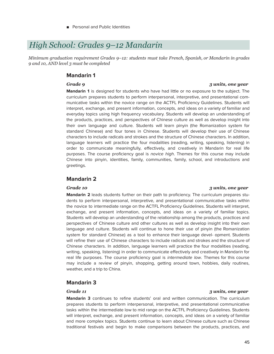■ Personal and Public Identities

## *High School: Grades 9–12 Mandarin*

*Minimum graduation requirement Grades 9–12: students must take French, Spanish, or Mandarin in grades 9 and 10, AND level 3 must be completed*

### **Mandarin 1**

**Mandarin 1** is designed for students who have had little or no exposure to the subject. The curriculum prepares students to perform interpersonal, interpretive, and presentational communicative tasks within the novice range on the ACTFL Proficiency Guidelines. Students will interpret, exchange, and present information, concepts, and ideas on a variety of familiar and everyday topics using high frequency vocabulary. Students will develop an understanding of the products, practices, and perspectives of Chinese culture as well as develop insight into their own language and culture. Students will learn pinyin (the Romanization system for standard Chinese) and four tones in Chinese. Students will develop their use of Chinese characters to include radicals and strokes and the structure of Chinese characters. In addition, language learners will practice the four modalities (reading, writing, speaking, listening) in order to communicate meaningfully, effectively, and creatively in Mandarin for real life purposes. The course proficiency goal is *novice high*. Themes for this course may include Chinese into pinyin, identities, family, communities, family, school, and introductions and greetings.

### **Mandarin 2**

#### **Mandarin 2** leads students further on their path to proficiency. The curriculum prepares students to perform interpersonal, interpretive, and presentational communicative tasks within the novice to intermediate range on the ACTFL Proficiency Guidelines. Students will interpret, exchange, and present information, concepts, and ideas on a variety of familiar topics. Students will develop an understanding of the relationship among the products, practices and perspectives of Chinese culture and other cultures as well as develop insight into their own language and culture. Students will continue to hone their use of pinyin (the Romanization system for standard Chinese) as a tool to enhance their language devel- opment. Students will refine their use of Chinese characters to include radicals and strokes and the structure of Chinese characters. In addition, language learners will practice the four modalities (reading, writing, speaking, listening) in order to communicate effectively and creatively in Mandarin for real life purposes. The course proficiency goal is intermediate low. Themes for this course may include a review of pinyin, shopping, getting around town, hobbies, daily routines, weather, and a trip to China.

### **Mandarin 3**

#### *Grade 11 3 units, one year*

**Mandarin 3** continues to refine students' oral and written communication. The curriculum prepares students to perform interpersonal, interpretive, and presentational communicative tasks within the intermediate low to mid range on the ACTFL Proficiency Guidelines. Students will interpret, exchange, and present information, concepts, and ideas on a variety of familiar and more complex topics. Students continue to learn about Chinese culture such as Chinese traditional festivals and begin to make comparisons between the products, practices, and

#### *Grade 10 3 units, one year*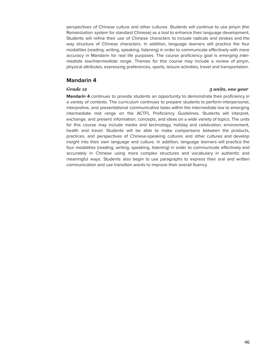perspectives of Chinese culture and other cultures. Students will continue to use pinyin (the Romanization system for standard Chinese) as a tool to enhance their language development. Students will refine their use of Chinese characters to include radicals and strokes and the way structure of Chinese characters. In addition, language learners will practice the four modalities (reading, writing, speaking, listening) in order to communicate effectively with more accuracy in Mandarin for real life purposes. The course proficiency goal is emerging intermediate low/intermediate range. Themes for this course may include a review of pinyin, physical attributes, expressing preferences, sports, leisure activities, travel and transportation.

#### **Mandarin 4**

#### *Grade 12 3 units, one year*

#### **Mandarin 4** continues to provide students an opportunity to demonstrate their proficiency in a variety of contexts. The curriculum continues to prepare students to perform interpersonal, interpretive, and presentational communicative tasks within the intermediate low to emerging intermediate mid range on the ACTFL Proficiency Guidelines. Students will interpret, exchange, and present information, concepts, and ideas on a wide variety of topics. The units for this course may include media and technology, holiday and celebration, environment, health and travel. Students will be able to make comparisons between the products, practices, and perspectives of Chinese-speaking cultures and other cultures and develop insight into their own language and culture. In addition, language learners will practice the four modalities (reading, writing, speaking, listening) in order to communicate effectively and accurately in Chinese using more complex structures and vocabulary in authentic and meaningful ways. Students also begin to use paragraphs to express their oral and written communication and use transition words to improve their overall fluency.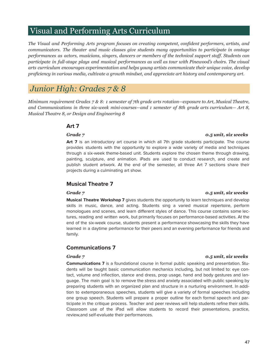47

## Visual and Performing Arts Curriculum

*The Visual and Performing Arts program focuses on creating competent, confident performers, artists, and communicators. The theater and music classes give students many opportunities to participate in onstage performances as actors, musicians, singers, dancers or members of the technical support staf . Students can participate in full-stage plays and musical performances as well as tour with Pinewood's choirs. The visual arts curriculum encourages experimentation and helps young artists communicate their unique voice, develop proficiency in various media, cultivate a growth mindset, and appreciate art history and contemporary art.*

## *Junior High: Grades 7 & 8*

*Minimum requirement Grades 7 & 8: 1 semester of 7th grade arts rotation—exposure to Art, Musical Theatre, and Communications in three six-week mini-courses—and 1 semester of 8th grade arts curriculum— Art 8, Musical Theatre 8, or Design and Engineering 8*

### **Art 7**

### *Grade 7 0.5 unit, six weeks*

**Art 7** is an introductory art course in which all 7th grade students participate. The course provides students with the opportunity to explore a wide variety of media and techniques through a six-week theme-based unit. Students explore the chosen theme through drawing, painting, sculpture, and animation. iPads are used to conduct research, and create and publish student artwork. At the end of the semester, all three Art 7 sections share their projects during a culminating art show.

### **Musical Theatre 7**

**Musical Theatre Workshop 7** gives students the opportunity to learn techniques and develop skills in music, dance, and acting. Students sing a varied musical repertoire, perform monologues and scenes, and learn different styles of dance. This course contains some lectures, reading and written work, but primarily focuses on performance-based activities. At the end of the six-week course, students present a performance showcasing the skills they have learned in a daytime performance for their peers and an evening performance for friends and family.

### **Communications 7**

**Communications 7** is a foundational course in formal public speaking and presentation. Students will be taught basic communication mechanics including, but not limited to: eye contact, volume and inflection, stance and dress, prop usage, hand and body gestures and language. The main goal is to remove the stress and anxiety associated with public speaking by preparing students with an organized plan and structure in a nurturing environment. In addition to extemporaneous speeches, students will give a variety of formal speeches including one group speech. Students will prepare a proper outline for each formal speech and participate in the critique process. Teacher and peer reviews will help students refine their skills. Classroom use of the iPad will allow students to record their presentations, practice, review,and self-evaluate their performances.

#### *Grade 7 0.5 unit, six weeks*

#### *Grade 7 0.5 unit, six weeks*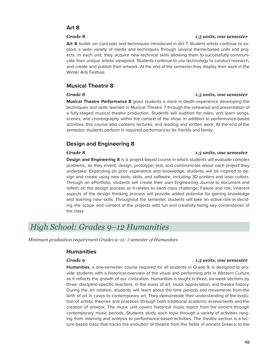### **Art 8**

**Art 8** builds on concepts and techniques introduced in Art 7. Student artists continue to explore a wide variety of media and techniques through several theme-based units and projects. In each unit, they acquire new technical skills allowing them to successfully communicate their unique artistic viewpoint. Students continue to use technology to conduct research, and create and publish their artwork. At the end of the semester they display their work in the Winter Arts Festival.

### **Musical Theatre 8**

**Musical Theatre Performance 8** gives students a more in-depth experience developing the techniques and skills learned in Musical Theatre 7 through the rehearsal and presentation of a fully-staged musical theatre production. Students will audition for roles, and learn songs, scenes, and choreography within the context of the show. In addition to performance-based activities, this course also contains lectures, and reading and written work. At the end of the semester, students perform in required performances for friends and family.

### **Design and Engineering 8**

#### **Design and Engineering 8** is a project-based course in which students will evaluate complex problems, as they invent, design, prototype, test, and communicate about each project they undertake. Expanding on prior experience and knowledge, students will be inspired to design and create using new tools, skills, and software, including 3D printers and laser cutters. Through an ePortfolio, students will create their own Engineering Journal to document and reflect on the design process as it relates to each class challenge. Failure and risk, inherent aspects of the design thinking process will provide added potential for gaining knowledge and learning new skills. Throughout the semester, students will take an active role in deciding the scope and content of the projects with fun and creativity being key cornerstones of the class.

## *High School: Grades 9–12 Humanities*

*Minimum graduation requirement Grades 9–12: 1 semester of Humanities*

#### **Humanities**

#### *Grade 9 1.5 units, one semester*

**Humanities**, a one-semester course required for all students in Grade 9, is designed to provide students with a historical overview of the visual and performing arts in Western Culture as it reflects the growth of our civilization. Humanities is taught in three, six-week sections by three, discipline-specific teachers, in the areas of art, music appreciation, and theatre history. During the art rotation, students will learn about the time periods and movements from the birth of art in caves to contemporary art. They demonstrate their understanding of the evolution of artistic theories and practices through both traditional academic assessments and the creation of artwork. The music unit covers historical music topics from the ancient through contemporary music periods. Students study each topic through a variety of activities ranging from listening and analysis to performance-based activities. The theatre section is a lecture-based class that tracks the evolution of theatre from the fields of ancient Greece, to the

#### *Grade 8 1.5 units, one semester*

#### *Grade 8 1.5 units, one semester*

#### *Grade 8 1.5 units, one semester*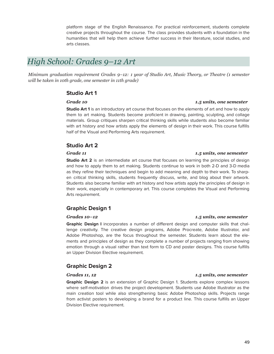platform stage of the English Renaissance. For practical reinforcement, students complete creative projects throughout the course. The class provides students with a foundation in the humanities that will help them achieve further success in their literature, social studies, and arts classes.

## *High School: Grades 9–12 Art*

*Minimum graduation requirement Grades 9–12: 1 year of Studio Art, Music Theory, or Theatre (1 semester will be taken in 10th grade, one semester in 11th grade)*

#### **Studio Art 1**

#### *Grade 10 1.5 units, one semester*

**Studio Art 1** is an introductory art course that focuses on the elements of art and how to apply them to art making. Students become proficient in drawing, painting, sculpting, and collage materials. Group critiques sharpen critical thinking skills while students also become familiar with art history and how artists apply the elements of design in their work. This course fulfills half of the Visual and Performing Arts requirement.

### **Studio Art 2**

#### *Grade 11 1.5 units, one semester*

**Studio Art 2** is an intermediate art course that focuses on learning the principles of design and how to apply them to art making. Students continue to work in both 2-D and 3-D media as they refine their techniques and begin to add meaning and depth to their work. To sharpen critical thinking skills, students frequently discuss, write, and blog about their artwork. Students also become familiar with art history and how artists apply the principles of design in their work, especially in contemporary art. This course completes the Visual and Performing Arts requirement.

### **Graphic Design 1**

**Graphic Design I** incorporates a number of different design and computer skills that challenge creativity. The creative design programs, Adobe Procreate, Adobe Illustrator, and Adobe Photoshop, are the focus throughout the semester. Students learn about the elements and principles of design as they complete a number of projects ranging from showing emotion through a visual rather than text form to CD and poster designs. This course fulfills an Upper Division Elective requirement.

### **Graphic Design 2**

#### *Grades 11, 12 1.5 units, one semester*

**Graphic Design 2** is an extension of Graphic Design 1. Students explore complex lessons where self-motivation drives the project development. Students use Adobe Illustrator as the main creation tool while also strengthening basic Adobe Photoshop skills. Projects range from activist posters to developing a brand for a product line. This course fulfills an Upper Division Elective requirement.

#### *Grades 10–12 1.5 units, one semester*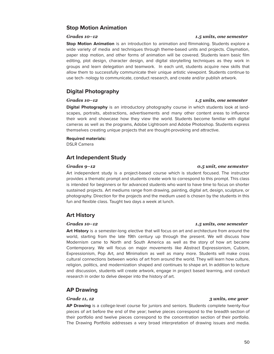### **Stop Motion Animation**

#### *Grades 10–12 1.5 units, one semester*

**Stop Motion Animation** is an introduction to animation and filmmaking. Students explore a wide variety of media and techniques through theme-based units and projects. Claymation, paper stop motion, and other forms of animation will be covered. Students learn basic film editing, plot design, character design, and digital storytelling techniques as they work in groups and learn delegation and teamwork. In each unit, students acquire new skills that allow them to successfully communicate their unique artistic viewpoint. Students continue to use tech- nology to communicate, conduct research, and create and/or publish artwork.

### **Digital Photography**

**Digital Photography** is an introductory photography course in which students look at landscapes, portraits, abstractions, advertisements and many other content areas to influence their work and showcase how they view the world. Students become familiar with digital cameras as well as the programs, Adobe Lightroom and Adobe Photoshop. Students express themselves creating unique projects that are thought-provoking and attractive.

#### **Required materials:**

DSLR Camera

### **Art Independent Study**

#### *Grades 9–12 0.5 unit, one semester*

Art independent study is a project-based course which is student focused. The instructor provides a thematic prompt and students create work to correspond to this prompt. This class is intended for beginners or for advanced students who want to have time to focus on shorter sustained projects. Art mediums range from drawing, painting, digital art, design, sculpture, or photography. Direction for the projects and the medium used is chosen by the students in this fun and flexible class. Taught two days a week at lunch.

### **Art History**

**Art History** is a semester-long elective that will focus on art and architecture from around the world, starting from the late 19th century up through the present. We will discuss how Modernism came to North and South America as well as the story of how art became Contemporary. We will focus on major movements like Abstract Expressionism, Cubism, Expressionism, Pop Art, and Minimalism as well as many more. Students will make cross cultural connections between works of art from around the world. They will learn how culture, religion, politics, and modernization shaped and continues to shape art. In addition to lecture and discussion, students will create artwork, engage in project based learning, and conduct research in order to delve deeper into the history of art.

### **AP Drawing**

#### *Grade 11, 12 3 units, one year*

**AP Drawing** is a college-level course for juniors and seniors. Students complete twenty-four pieces of art before the end of the year; twelve pieces correspond to the breadth section of their portfolio and twelve pieces correspond to the concentration section of their portfolio. The Drawing Portfolio addresses a very broad interpretation of drawing issues and media.

### *Grades 10–12 1.5 units, one semester*

#### *Grades 10–12 1.5 units, one semester*

#### 50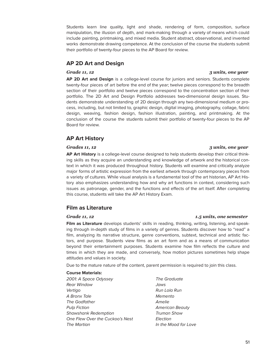Students learn line quality, light and shade, rendering of form, composition, surface manipulation, the illusion of depth, and mark-making through a variety of means which could include painting, printmaking, and mixed media. Student abstract, observational, and invented works demonstrate drawing competence. At the conclusion of the course the students submit their portfolio of twenty-four pieces to the AP Board for review.

### **AP 2D Art and Design**

**AP 2D Art and Design** is a college-level course for juniors and seniors. Students complete twenty-four pieces of art before the end of the year; twelve pieces correspond to the breadth section of their portfolio and twelve pieces correspond to the concentration section of their portfolio. The 2D Art and Design Portfolio addresses two-dimensional design issues. Students demonstrate understanding of 2D design through any two-dimensional medium or process, including, but not limited to, graphic design, digital imaging, photography, collage, fabric design, weaving, fashion design, fashion illustration, painting, and printmaking. At the conclusion of the course the students submit their portfolio of twenty-four pieces to the AP Board for review.

### **AP Art History**

#### *Grades 11, 12 3 units, one year*

**AP Art History** is a college-level course designed to help students develop their critical thinking skills as they acquire an understanding and knowledge of artwork and the historical context in which it was produced throughout history. Students will examine and critically analyze major forms of artistic expression from the earliest artwork through contemporary pieces from a variety of cultures. While visual analysis is a fundamental tool of the art historian, AP Art History also emphasizes understanding how and why art functions in context, considering such issues as patronage, gender, and the functions and effects of the art itself. After completing this course, students will take the AP Art History Exam.

### **Film as Literature**

**Film as Literature** develops students' skills in reading, thinking, writing, listening, and speaking through in-depth study of films in a variety of genres. Students discover how to "read" a film, analyzing its narrative structure, genre conventions, subtext, technical and artistic factors, and purpose. Students view films as an art form and as a means of communication beyond their entertainment purposes. Students examine how film reflects the culture and times in which they are made, and conversely, how motion pictures sometimes help shape attitudes and values in society.

Due to the mature nature of the content, parent permission is required to join this class.

#### **Course Materials:**

2001: A Space Odyssey The Graduate Rear Window Jaws Vertigo **Run Lola Run Lola Run** A Bronx Tale **Memento** The Godfather **Amelie** Pulp Fiction **American Beauty** Shawshank Redemption Truman Show One Flew Over the Cuckoo's Nest Flection The Martian The Mood for Love

#### *Grade 11, 12 1.5 units, one semester*

#### *Grade 11, 12 3 units, one year*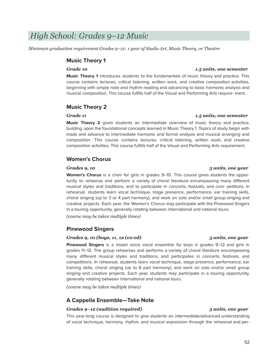## *High School: Grades 9–12 Music*

*Minimum graduation requirement Grades 9–12: 1 year of Studio Art, Music Theory, or Theatre*

### **Music Theory 1**

**Music Theory 1** introduces students to the fundamentals of music theory and practice. This course contains lectures, critical listening, written work, and creative composition activities, beginning with simple note and rhythm reading and advancing to basic harmonic analysis and musical composition. This course fulfills half of the Visual and Performing Arts require- ment.

### **Music Theory 2**

#### *Grade 11 1.5 units, one semester*

**Music Theory 2** gives students an intermediate overview of music theory and practice, building upon the foundational concepts learned in Music Theory 1. Topics of study begin with triads and advance to intermediate harmonic and formal analysis and musical arranging and composition. This course contains lectures, critical listening, written work, and creative composition activities. This course fulfills half of the Visual and Performing Arts requirement.

### **Women's Chorus**

**Women's Chorus** is a choir for girls in grades 9–10. This course gives students the opportunity to rehearse and perform a variety of choral literature encompassing many different musical styles and traditions, and to participate in concerts, festivals, and com- petitions. In rehearsal, students learn vocal technique, stage presence, performance, ear training skills, choral singing (up to 3 or 4 part harmony), and work on solo and/or small group singing and creative projects. Each year, the Women's Chorus may participate with the Pinewood Singers in a touring opportunity, generally rotating between international and national tours.

*(course may be taken multiple times)*

### **Pinewood Singers**

#### *Grades 9, 10 (boys, 11, 12 (co-ed) 3 units, one year*

**Pinewood Singers** is a mixed voice vocal ensemble for boys in grades 9–12 and girls in grades 11–12. The group rehearses and performs a variety of choral literature encompassing many different musical styles and traditions, and participates in concerts, festivals, and competitions. In rehearsal, students learn vocal technique, stage presence, performance, ear training skills, choral singing (up to 6 part harmony), and work on solo and/or small group singing and creative projects. Each year, students may participate in a touring opportunity, generally rotating between international and national tours.

*(course may be taken multiple times)*

### **A Cappella Ensemble—Take Note**

#### *Grades 9–12 (audition required) 3 units, one year*

This year-long course is designed to give students an intermediate/advanced understanding of vocal technique, harmony, rhythm, and musical expression through the rehearsal and per-

#### *Grades 9, 10 3 units, one year*

### *Grade 10 1.5 units, one semester*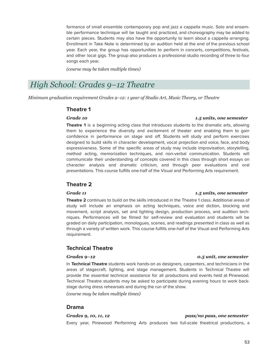formance of small ensemble contemporary pop and jazz a cappella music. Solo and ensemble performance technique will be taught and practiced, and choreography may be added to certain pieces. Students may also have the opportunity to learn about a cappella arranging. Enrollment in Take Note is determined by an audition held at the end of the previous school year. Each year, the group has opportunities to perform in concerts, competitions, festivals, and other local gigs. The group also produces a professional studio recording of three to four songs each year.

*(course may be taken multiple times)*

## *High School: Grades 9–12 Theatre*

*Minimum graduation requirement Grades 9–12: 1 year of Studio Art, Music Theory, or Theatre*

#### **Theatre 1**

#### *Grade 10 1.5 units, one semester*

#### **Theatre 1** is a beginning acting class that introduces students to the dramatic arts, allowing them to experience the diversity and excitement of theater and enabling them to gain confidence in performance on stage and off. Students will study and perform exercises designed to build skills in character development, vocal projection and voice, face, and body expressiveness. Some of the specific areas of study may include improvisation, storytelling, method acting, memorization techniques, and non-verbal communication. Students will communicate their understanding of concepts covered in this class through short essays on character analysis and dramatic criticism, and through peer evaluations and oral presentations. This course fulfills one-half of the Visual and Performing Arts requirement.

#### **Theatre 2**

**Theatre 2** continues to build on the skills introduced in the Theatre 1 class. Additional areas of study will include an emphasis on acting techniques, voice and diction, blocking and movement, script analysis, set and lighting design, production process, and audition techniques. Performances will be filmed for self-review and evaluation and students will be graded on daily participation, monologues, scenes, and readings presented in class as well as through a variety of written work. This course fulfills one-half of the Visual and Performing Arts requirement.

#### **Technical Theatre**

In **Technical Theatre** students work hands-on as designers, carpenters, and technicians in the areas of stagecraft, lighting, and stage management. Students in Technical Theatre will provide the essential technical assistance for all productions and events held at Pinewood. Technical Theatre students may be asked to participate during evening hours to work backstage during dress rehearsals and during the run of the show.

*(course may be taken multiple times)*

#### **Drama**

#### *Grades 9, 10, 11, 12 pass/no pass, one semester*

Every year, Pinewood Performing Arts produces two full-scale theatrical productions, a

#### *Grade 11 1.5 units, one semester*

#### *Grades 9–12 0.5 unit, one semester*

#### 53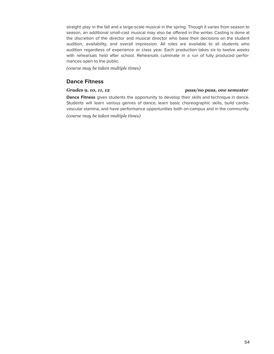straight play in the fall and a large-scale musical in the spring. Though it varies from season to season, an additional small-cast musical may also be offered in the winter. Casting is done at the discretion of the director and musical director who base their decisions on the student audition, availability, and overall impression. All roles are available to all students who audition regardless of experience or class year. Each production takes six to twelve weeks with rehearsals held after school. Rehearsals culminate in a run of fully produced performances open to the public.

*(course may be taken multiple times)*

### **Dance Fitness**

#### *Grades 9, 10, 11, 12 pass/no pass, one semester*

**Dance Fitness** gives students the opportunity to develop their skills and technique in dance. Students will learn various genres of dance, learn basic choreographic skills, build cardiovascular stamina, and have performance opportunities both on-campus and in the community.

*(course may be taken multiple times)*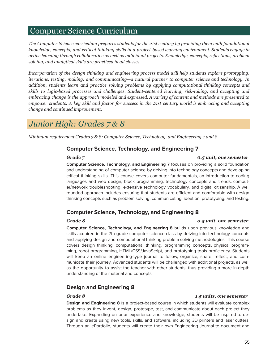## Computer Science Curriculum

*The Computer Science curriculum prepares students for the 21st century by providing them with foundational knowledge, concepts, and critical thinking skills in a project-based learning environment. Students engage in active learning through collaborative as well as individual projects. Knowledge, concepts, reflections, problem solving, and analytical skills are practiced in all classes.*

*Incorporation of the design thinking and engineering process model will help students explore prototyping, iterations, testing, making, and communicating—a natural partner to computer science and technology. In addition, students learn and practice solving problems by applying computational thinking concepts and skills to logic-based processes and challenges. Student-centered learning, risk-taking, and accepting and embracing change is the approach modeled and expressed. A variety of content and methods are presented to* empower students. A key skill and factor for success in the 21st century world is embracing and accepting *change and continued improvement.*

## *Junior High: Grades 7 & 8*

*Minimum requirement Grades 7 & 8: Computer Science, Technology, and Engineering 7 and 8*

### **Computer Science, Technology, and Engineering 7**

#### *Grade 7 0.5 unit, one semester*

**Computer Science, Technology, and Engineering 7** focuses on providing a solid foundation and understanding of computer science by delving into technology concepts and developing critical thinking skills. This course covers computer fundamentals, an introduction to coding languages and web design, block programming, technology concepts and trends, computer/network troubleshooting, extensive technology vocabulary, and digital citizenship. A well rounded approach includes ensuring that students are efficient and comfortable with design thinking concepts such as problem solving, communicating, ideation, prototyping, and testing.

### **Computer Science, Technology, and Engineering 8**

#### *Grade 8 0.5 unit, one semester*

**Computer Science, Technology, and Engineering 8** builds upon previous knowledge and skills acquired in the 7th grade computer science class by delving into technology concepts and applying design and computational thinking problem solving methodologies. This course covers design thinking, computational thinking, programming concepts, physical programming, robot programming, HTML/CSS/JavaScript, and prototyping tools proficiency. Students will keep an online engineering-type journal to follow, organize, share, reflect, and communicate their journey. Advanced students will be challenged with additional projects, as well as the opportunity to assist the teacher with other students, thus providing a more in-depth understanding of the material and concepts.

### **Design and Engineering 8**

**Design and Engineering 8** is a project-based course in which students will evaluate complex problems as they invent, design, prototype, test, and communicate about each project they undertake. Expanding on prior experience and knowledge, students will be inspired to design and create using new tools, skills, and software, including 3D printers and laser cutters. Through an ePortfolio, students will create their own Engineering Journal to document and

#### *Grade 8 1.5 units, one semester*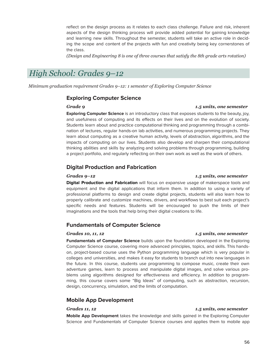reflect on the design process as it relates to each class challenge. Failure and risk, inherent aspects of the design thinking process will provide added potential for gaining knowledge and learning new skills. Throughout the semester, students will take an active role in deciding the scope and content of the projects with fun and creativity being key cornerstones of the class.

*(Design and Engineering 8 is one of three courses that satisfy the 8th grade arts rotation)*

## *High School: Grades 9–12*

*Minimum graduation requirement Grades 9–12: 1 semester of Exploring Computer Science*

#### **Exploring Computer Science**

#### *Grade 9 1.5 units, one semester*

**Exploring Computer Science** is an introductory class that exposes students to the beauty, joy, and usefulness of computing and its effects on their lives and on the evolution of society. Students learn about and practice computational thinking and programming through a combination of lectures, regular hands-on lab activities, and numerous programming projects. They learn about computing as a creative human activity, levels of abstraction, algorithms, and the impacts of computing on our lives. Students also develop and sharpen their computational thinking abilities and skills by analyzing and solving problems through programming, building a project portfolio, and regularly reflecting on their own work as well as the work of others.

#### **Digital Production and Fabrication**

#### *Grades 9–12 1.5 units, one semester*

**Digital Production and Fabrication** will focus on expansive usage of makerspace tools and equipment and the digital applications that inform them. In addition to using a variety of professional platforms to design and create digital projects, students will also learn how to properly calibrate and customize machines, drivers, and workflows to best suit each project's specific needs and features. Students will be encouraged to push the limits of their imaginations and the tools that help bring their digital creations to life.

#### **Fundamentals of Computer Science**

## *Grades 10, 11, 12 1.5 units, one semester*

**Fundamentals of Computer Science** builds upon the foundation developed in the Exploring Computer Science course, covering more advanced principles, topics, and skills. This handson, project-based course uses the Python programming language which is very popular in colleges and universities, and makes it easy for students to branch out into new languages in the future. In this course, students use programming to compose music, create their own adventure games, learn to process and manipulate digital images, and solve various problems using algorithms designed for effectiveness and efficiency. In addition to programming, this course covers some "Big Ideas" of computing, such as abstraction, recursion, design, concurrency, simulation, and the limits of computation.

### **Mobile App Development**

#### *Grades 11, 12 1.5 units, one semester*

**Mobile App Development** takes the knowledge and skills gained in the Exploring Computer Science and Fundamentals of Computer Science courses and applies them to mobile app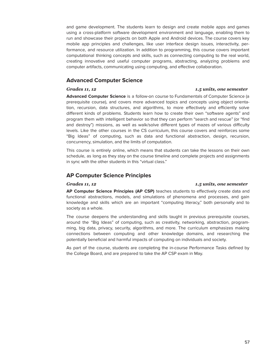and game development. The students learn to design and create mobile apps and games using a cross-platform software development environment and language, enabling them to run and showcase their projects on both Apple and Android devices. The course covers key mobile app principles and challenges, like user interface design issues, interactivity, performance, and resource utilization. In addition to programming, this course covers important computational thinking concepts and skills, such as connecting computing to the real world, creating innovative and useful computer programs, abstracting, analyzing problems and computer artifacts, communicating using computing, and effective collaboration.

### **Advanced Computer Science**

#### *Grades 11, 12 1.5 units, one semester*

**Advanced Computer Science** is a follow-on course to Fundamentals of Computer Science (a prerequisite course), and covers more advanced topics and concepts using object orientation, recursion, data structures, and algorithms, to more effectively and efficiently solve different kinds of problems. Students learn how to create their own "software agents" and program them with intelligent behavior so that they can perform "search and rescue" (or "find and destroy") missions, as well as walk/solve different types of mazes of various difficulty levels. Like the other courses in the CS curriculum, this course covers and reinforces some "Big Ideas" of computing, such as data and functional abstraction, design, recursion, concurrency, simulation, and the limits of computation.

This course is entirely online, which means that students can take the lessons on their own schedule, as long as they stay on the course timeline and complete projects and assignments in sync with the other students in this "virtual class."

### **AP Computer Science Principles**

#### *Grades 11, 12 1.5 units, one semester*

**AP Computer Science Principles (AP CSP)** teaches students to effectively create data and functional abstractions, models, and simulations of phenomena and processes, and gain knowledge and skills which are an important "computing literacy," both personally and to society as a whole.

The course deepens the understanding and skills taught in previous prerequisite courses, around the "Big Ideas" of computing, such as creativity, networking, abstraction, programming, big data, privacy, security, algorithms, and more. The curriculum emphasizes making connections between computing and other knowledge domains, and researching the potentially beneficial and harmful impacts of computing on individuals and society.

As part of the course, students are completing the in-course Performance Tasks defined by the College Board, and are prepared to take the AP CSP exam in May.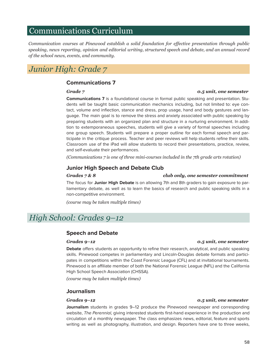## Communications Curriculum

*Communication courses at Pinewood establish a solid foundation for ef ective presentation through public speaking, news reporting, opinion and editorial writing, structured speech and debate, and an annual record of the school news, events, and community.*

## *Junior High: Grade 7*

### **Communications 7**

#### **Communications 7** is a foundational course in formal public speaking and presentation. Students will be taught basic communication mechanics including, but not limited to: eye contact, volume and inflection, stance and dress, prop usage, hand and body gestures and language. The main goal is to remove the stress and anxiety associated with public speaking by preparing students with an organized plan and structure in a nurturing environment. In addition to extemporaneous speeches, students will give a variety of formal speeches including one group speech. Students will prepare a proper outline for each formal speech and participate in the critique process. Teacher and peer reviews will help students refine their skills. Classroom use of the iPad will allow students to record their presentations, practice, review, and self-evaluate their performances.

*(Communications 7 is one of three mini-courses included in the 7th grade arts rotation)*

### **Junior High Speech and Debate Club**

#### *Grades 7 & 8 club only, one semester commitment*

The focus for **Junior High Debate** is on allowing 7th and 8th graders to gain exposure to parliamentary debate, as well as to learn the basics of research and public speaking skills in a non-competitive environment.

*(course may be taken multiple times)*

## *High School: Grades 9–12*

#### **Speech and Debate**

#### *Grades 9–12 0.5 unit, one semester*

**Debate** offers students an opportunity to refine their research, analytical, and public speaking skills. Pinewood competes in parliamentary and Lincoln-Douglas debate formats and participates in competitions within the Coast Forensic League (CFL) and at invitational tournaments. Pinewood is an affiliate member of both the National Forensic League (NFL) and the California High School Speech Association (CHSSA).

*(course may be taken multiple times)*

### **Journalism**

**Journalism** students in grades 9–12 produce the Pinewood newspaper and corresponding website, The Perennial, giving interested students first-hand experience in the production and circulation of a monthly newspaper. The class emphasizes news, editorial, feature and sports writing as well as photography, illustration, and design. Reporters have one to three weeks,

#### *Grades 9–12 0.5 unit, one semester*

#### *Grade 7 0.5 unit, one semester*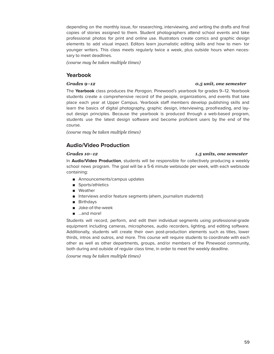depending on the monthly issue, for researching, interviewing, and writing the drafts and final copies of stories assigned to them. Student photographers attend school events and take professional photos for print and online use. Illustrators create comics and graphic design elements to add visual impact. Editors learn journalistic editing skills and how to men- tor younger writers. This class meets regularly twice a week, plus outside hours when necessary to meet deadlines.

*(course may be taken multiple times)*

#### **Yearbook**

#### *Grades 9–12 0.5 unit, one semester*

The **Yearbook** class produces the Paragon, Pinewood's yearbook for grades 9–12. Yearbook students create a comprehensive record of the people, organizations, and events that take place each year at Upper Campus. Yearbook staff members develop publishing skills and learn the basics of digital photography, graphic design, interviewing, proofreading, and layout design principles. Because the yearbook is produced through a web-based program, students use the latest design software and become proficient users by the end of the course.

*(course may be taken multiple times)*

### **Audio/Video Production**

#### *Grades 10–12 1.5 units, one semester*

In **Audio/Video Production**, students will be responsible for collectively producing a weekly school news program. The goal will be a 5-6 minute webisode per week, with each webisode containing:

- Announcements/campus updates
- Sports/athletics
- Weather
- Interviews and/or feature segments (ahem, journalism students!)
- Birthdays
- Joke-of-the-week
- …and more!

Students will record, perform, and edit their individual segments using professional-grade equipment including cameras, microphones, audio recorders, lighting, and editing software. Additionally, students will create their own post-production elements such as titles, lower thirds, intros and outros, and more. This course will require students to coordinate with each other as well as other departments, groups, and/or members of the Pinewood community, both during and outside of regular class time, in order to meet the weekly deadline.

*(course may be taken multiple times)*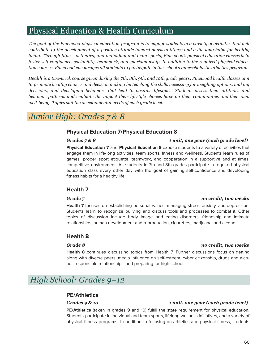## Physical Education & Health Curriculum

The goal of the Pinewood physical education program is to engage students in a variety of activities that will contribute to the development of a positive attitude toward physical fitness and a life-long habit for healthy *living. Through fitness activities, and individual and team sports, Pinewood's physical education classes help foster self-confidence, sociability, teamwork, and sportsmanship. In addition to the required physical education courses, Pinewood encourages all students to participate in the school's interscholastic athletics program.*

Health is a two-week course given during the 7th, 8th, 9th, and 10th grade years. Pinewood health classes aim *to promote healthy choices and decision making by teaching the skills necessary for weighing options, making decisions, and developing behaviors that lead to positive lifestyles. Students assess their attitudes and behavior patterns and evaluate the impact their lifestyle choices have on their communities and their own well-being. Topics suit the developmental needs of each grade level.*

## *Junior High: Grades 7 & 8*

### **Physical Education 7/Physical Education 8**

#### *Grades 7 & 8 1 unit, one year (each grade level)*

**Physical Education 7** and **Physical Education 8** expose students to a variety of activities that engage them in life-long activities, team sports, fitness and wellness. Students learn rules of games, proper sport etiquette, teamwork, and cooperation in a supportive and at times, competitive environment. All students in 7th and 8th grades participate in required physical education class every other day with the goal of gaining self-confidence and developing fitness habits for a healthy life.

### **Health 7**

**Health 7** focuses on establishing personal values, managing stress, anxiety, and depression. Students learn to recognize bullying and discuss tools and processes to combat it. Other topics of discussion include body image and eating disorders, friendship and intimate relationships, human development and reproduction, cigarettes, marijuana, and alcohol.

### **Health 8**

#### *Grade 8 no credit, two weeks*

**Health 8** continues discussing topics from Health 7. Further discussions focus on getting along with diverse peers, media influence on self-esteem, cyber citizenship, drugs and alcohol, responsible relationships, and preparing for high school.

## *High School: Grades 9–12*

#### **PE/Athletics**

#### *Grades 9 & 10 1 unit, one year (each grade level)*

**PE/Athletics** (taken in grades 9 and 10) fulfill the state requirement for physical education. Students participate in individual and team sports, lifelong wellness initiatives, and a variety of physical fitness programs. In addition to focusing on athletics and physical fitness, students

#### *Grade 7 no credit, two weeks*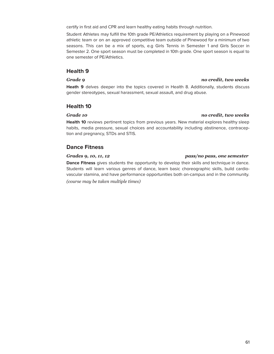certify in first aid and CPR and learn healthy eating habits through nutrition.

Student Athletes may fulfill the 10th grade PE/Athletics requirement by playing on a Pinewood athletic team or on an approved competitive team outside of Pinewood for a minimum of two seasons. This can be a mix of sports, e.g Girls Tennis in Semester 1 and Girls Soccer in Semester 2. One sport season must be completed in 10th grade. One sport season is equal to one semester of PE/Athletics.

### **Health 9**

#### *Grade 9 no credit, two weeks*

**Heath 9** delves deeper into the topics covered in Health 8. Additionally, students discuss gender stereotypes, sexual harassment, sexual assault, and drug abuse.

### **Health 10**

### *Grade 10 no credit, two weeks*

**Health 10** reviews pertinent topics from previous years. New material explores healthy sleep habits, media pressure, sexual choices and accountability including abstinence, contraception and pregnancy, STDs and STIS.

### **Dance Fitness**

**Dance Fitness** gives students the opportunity to develop their skills and technique in dance. Students will learn various genres of dance, learn basic choreographic skills, build cardiovascular stamina, and have performance opportunities both on-campus and in the community. *(course may be taken multiple times)*

#### *Grades 9, 10, 11, 12 pass/no pass, one semester*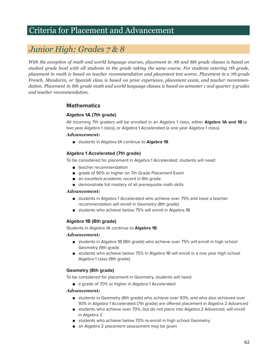## Criteria for Placement and Advancement

## *Junior High: Grades 7 & 8*

<span id="page-61-0"></span>With the exception of math and world language courses, placement in 7th and 8th grade classes is based on student grade level with all students in the grade taking the same course. For students entering 7th grade, *placement in math is based on teacher recommendation and placement test scores. Placement in a 7th grade French, Mandarin, or Spanish class is based on prior experience, placement exam, and teacher recommen*dation. Placement in 8th grade math and world language classes is based on semester 1 and quarter 3 grades *and teacher recommendation.*

#### **Mathematics**

#### **Algebra 1A (7th grade)**

All incoming 7th graders will be enrolled in an Algebra 1 class, either **Algebra 1A and 1B** (a two year Algebra 1 class), or Algebra 1 Accelerated (a one year Algebra 1 class).

#### *Advancement:*

■ students in Algebra 1A continue to **Algebra 1B**

#### **Algebra 1 Accelerated (7th grade)**

To be considered for placement in Algebra 1 Accelerated, students will need:

- teacher recommendation
- grade of 90% or higher on 7th Grade Placement Exam
- an excellent academic record in 6th grade
- demonstrate full mastery of all prerequisite math skills

#### *Advancement:*

- students in Algebra 1 Accelerated who achieve over 75% and have a teacher recommendation will enroll in Geometry (8th grade)
- students who achieve below 75% will enroll in Algebra 1B

#### **Algebra 1B (8th grade)**

Students in Algebra 1A continue to **Algebra 1B**.

#### *Advancement:*

- students in Algebra 1B (8th grade) who achieve over 75% will enroll in high school Geometry (9th grade
- students who achieve below 75% in Algebra 1B will enroll in a one year high school Algebra 1 class (9th grade).

#### **Geometry (8th grade)**

To be considered for placement in Geometry, students will need:

■ a grade of 70% or higher in Algebra 1 Accelerated

#### *Advancement:*

- students in Geometry (8th grade) who achieve over 93%, and who also achieved over 93% in Algebra 1 Accelerated (7th grade) are offered placement in Algebra 2 Advanced
- students who achieve over 70%, but do not place into Algebra 2 Advanced, will enroll in Algebra 2.
- students who achieve below 70% re-enroll in high school Geometry
- an Algebra 2 placement assessment may be given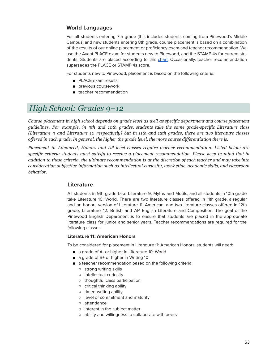### **World Languages**

For all students entering 7th grade (this includes students coming from Pinewood's Middle Campus) and new students entering 8th grade, course placement is based on a combination of the results of our online placement or proficiency exam and teacher recommendation. We use the Avant PLACE exam for students new to Pinewood, and the STAMP 4s for current students. Students are placed according to this [chart.](https://docs.google.com/document/d/1J4YooWYCUkLYZfQz1t5copAg0mVW7WZXszliSXz3F54/edit?usp=sharing) Occasionally, teacher recommendation supersedes the PLACE or STAMP 4s score.

For students new to Pinewood, placement is based on the following criteria:

- PLACE exam results
- previous coursework
- teacher recommendation

## *High School: Grades 9–12*

Course placement in high school depends on grade level as well as specific department and course placement *guidelines. For example, in 9th and 10th grades, students take the same grade-specific Literature class* (Literature 9 and Literature 10 respectively) but in 11th and 12th grades, there are two literature classes offered in each grade. In general, the higher the grade level, the more course differentiation there is.

*Placement in Advanced, Honors and AP level classes require teacher recommendation. Listed below are specific criteria students must satisfy to receive a placement recommendation. Please keep in mind that in* addition to these criteria, the ultimate recommendation is at the discretion of each teacher and may take into *consideration subjective information such as intellectual curiosity, work ethic, academic skills, and classroom behavior.*

#### **Literature**

All students in 9th grade take Literature 9: Myths and Motifs, and all students in 10th grade take Literature 10: World. There are two literature classes offered in 11th grade, a regular and an honors version of Literature 11: American, and two literature classes offered in 12th grade, Literature 12: British and AP English Literature and Composition. The goal of the Pinewood English Department is to ensure that students are placed in the appropriate literature class for junior and senior years. Teacher recommendations are required for the following classes.

#### **Literature 11: American Honors**

To be considered for placement in Literature 11: American Honors, students will need:

- a grade of A- or higher in Literature 10: World
- a grade of B+ or higher in Writing 10
- a teacher recommendation based on the following criteria:
	- strong writing skills
	- intellectual curiosity
	- thoughtful class participation
	- critical thinking ability
	- timed-writing ability
	- level of commitment and maturity
	- attendance
	- interest in the subject matter
	- ability and willingness to collaborate with peers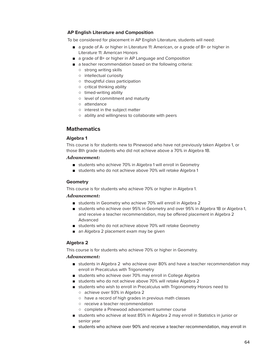#### **AP English Literature and Composition**

To be considered for placement in AP English Literature, students will need:

- a grade of A- or higher in Literature 11: American, or a grade of B+ or higher in Literature 11: American Honors
- a grade of B+ or higher in AP Language and Composition
- a teacher recommendation based on the following criteria:
	- strong writing skills
	- intellectual curiosity
	- thoughtful class participation
	- critical thinking ability
	- timed-writing ability
	- level of commitment and maturity
	- attendance
	- interest in the subject matter
	- ability and willingness to collaborate with peers

### **Mathematics**

#### **Algebra 1**

This course is for students new to Pinewood who have not previously taken Algebra 1, or those 8th grade students who did not achieve above a 70% in Algebra 1B.

#### *Advancement:*

- students who achieve 70% in Algebra 1 will enroll in Geometry
- students who do not achieve above 70% will retake Algebra 1

#### **Geometry**

This course is for students who achieve 70% or higher in Algebra 1.

#### *Advancement:*

- students in Geometry who achieve 70% will enroll in Algebra 2
- students who achieve over 95% in Geometry and over 95% in Algebra 1B or Algebra 1, and receive a teacher recommendation, may be offered placement in Algebra 2 Advanced
- students who do not achieve above 70% will retake Geometry
- an Algebra 2 placement exam may be given

#### **Algebra 2**

This course is for students who achieve 70% or higher in Geometry.

#### *Advancement:*

- students in Algebra 2 who achieve over 80% and have a teacher recommendation may enroll in Precalculus with Trigonometry
- students who achieve over 70% may enroll in College Algebra
- students who do not achieve above 70% will retake Algebra 2
- students who wish to enroll in Precalculus with Trigonometry Honors need to
	- achieve over 93% in Algebra 2
	- have a record of high grades in previous math classes
	- receive a teacher recommendation
	- complete a Pinewood advancement summer course
- students who achieve at least 85% in Algebra 2 may enroll in Statistics in junior or senior year
- students who achieve over 90% and receive a teacher recommendation, may enroll in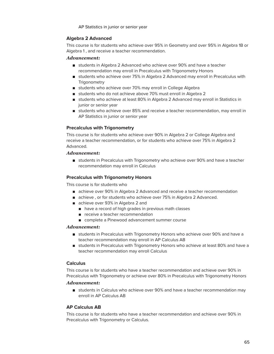#### AP Statistics in junior or senior year

#### **Algebra 2 Advanced**

This course is for students who achieve over 95% in Geometry and over 95% in Algebra 1B or Algebra 1 , and receive a teacher recommendation.

#### *Advancement:*

- students in Algebra 2 Advanced who achieve over 90% and have a teacher recommendation may enroll in Precalculus with Trigonometry Honors
- students who achieve over 75% in Algebra 2 Advanced may enroll in Precalculus with **Trigonometry**
- students who achieve over 70% may enroll in College Algebra
- students who do not achieve above 70% must enroll in Algebra 2
- students who achieve at least 80% in Algebra 2 Advanced may enroll in Statistics in junior or senior year
- students who achieve over 85% and receive a teacher recommendation, may enroll in AP Statistics in junior or senior year

#### **Precalculus with Trigonometry**

This course is for students who achieve over 90% in Algebra 2 or College Algebra and receive a teacher recommendation, or for students who achieve over 75% in Algebra 2 Advanced.

#### *Advancement:*

■ students in Precalculus with Trigonometry who achieve over 90% and have a teacher recommendation may enroll in Calculus

#### **Precalculus with Trigonometry Honors**

This course is for students who

- achieve over 90% in Algebra 2 Advanced and receive a teacher recommendation
- achieve, or for students who achieve over 75% in Algebra 2 Advanced.
- achieve over 93% in Algebra 2 and
	- have a record of high grades in previous math classes
	- receive a teacher recommendation
	- complete a Pinewood advancement summer course

#### *Advancement:*

- students in Precalculus with Trigonometry Honors who achieve over 90% and have a teacher recommendation may enroll in AP Calculus AB
- students in Precalculus with Trigonometry Honors who achieve at least 80% and have a teacher recommendation may enroll Calculus

#### **Calculus**

This course is for students who have a teacher recommendation and achieve over 90% in Precalculus with Trigonometry or achieve over 80% in Precalculus with Trigonometry Honors

#### *Advancement:*

■ students in Calculus who achieve over 90% and have a teacher recommendation may enroll in AP Calculus AB

#### **AP Calculus AB**

This course is for students who have a teacher recommendation and achieve over 90% in Precalculus with Trigonometry or Calculus.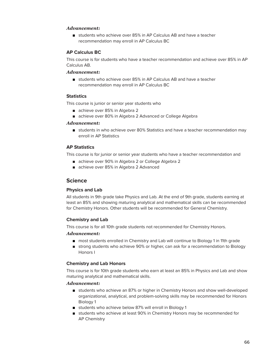#### *Advancement:*

■ students who achieve over 85% in AP Calculus AB and have a teacher recommendation may enroll in AP Calculus BC

#### **AP Calculus BC**

This course is for students who have a teacher recommendation and achieve over 85% in AP Calculus AB.

#### *Advancement:*

■ students who achieve over 85% in AP Calculus AB and have a teacher recommendation may enroll in AP Calculus BC

#### **Statistics**

This course is junior or senior year students who

- achieve over 85% in Algebra 2
- achieve over 80% in Algebra 2 Advanced or College Algebra

#### *Advancement:*

■ students in who achieve over 80% Statistics and have a teacher recommendation may enroll in AP Statistics

#### **AP Statistics**

This course is for junior or senior year students who have a teacher recommendation and

- achieve over 90% in Algebra 2 or College Algebra 2
- achieve over 85% in Algebra 2 Advanced

### **Science**

#### **Physics and Lab**

All students in 9th grade take Physics and Lab. At the end of 9th grade, students earning at least an 85% and showing maturing analytical and mathematical skills can be recommended for Chemistry Honors. Other students will be recommended for General Chemistry.

#### **Chemistry and Lab**

This course is for all 10th grade students not recommended for Chemistry Honors.

#### *Advancement:*

- most students enrolled in Chemistry and Lab will continue to Biology 1 in 11th grade
- strong students who achieve 90% or higher, can ask for a recommendation to Biology Honors I

#### **Chemistry and Lab Honors**

This course is for 10th grade students who earn at least an 85% in Physics and Lab and show maturing analytical and mathematical skills.

#### *Advancement:*

- students who achieve an 87% or higher in Chemistry Honors and show well-developed organizational, analytical, and problem-solving skills may be recommended for Honors Biology 1
- students who achieve below 87% will enroll in Biology 1
- students who achieve at least 90% in Chemistry Honors may be recommended for AP Chemistry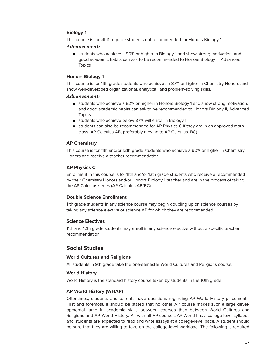#### **Biology 1**

This course is for all 11th grade students not recommended for Honors Biology 1.

#### *Advancement:*

■ students who achieve a 90% or higher in Biology 1 and show strong motivation, and good academic habits can ask to be recommended to Honors Biology II, Advanced **Topics** 

#### **Honors Biology 1**

This course is for 11th grade students who achieve an 87% or higher in Chemistry Honors and show well-developed organizational, analytical, and problem-solving skills.

#### *Advancement:*

- students who achieve a 82% or higher in Honors Biology 1 and show strong motivation, and good academic habits can ask to be recommended to Honors Biology II, Advanced **Topics**
- students who achieve below 87% will enroll in Biology 1
- students can also be recommended for AP Physics C if they are in an approved math class (AP Calculus AB, preferably moving to AP Calculus. BC)

#### **AP Chemistry**

This course is for 11th and/or 12th grade students who achieve a 90% or higher in Chemistry Honors and receive a teacher recommendation.

#### **AP Physics C**

Enrollment in this course is for 11th and/or 12th grade students who receive a recommended by their Chemistry Honors and/or Honors Biology 1 teacher and are in the process of taking the AP Calculus series (AP Calculus AB/BC).

#### **Double Science Enrollment**

11th grade students in any science course may begin doubling up on science courses by taking any science elective or science AP for which they are recommended.

#### **Science Electives**

11th and 12th grade students may enroll in any science elective without a specific teacher recommendation.

### <span id="page-66-0"></span>**Social Studies**

#### **World Cultures and Religions**

All students in 9th grade take the one-semester World Cultures and Religions course.

#### **World History**

World History is the standard history course taken by students in the 10th grade.

#### **AP World History (WHAP)**

Oftentimes, students and parents have questions regarding AP World History placements. First and foremost, it should be stated that no other AP course makes such a large developmental jump in academic skills between courses than between World Cultures and Religions and AP World History. As with all AP courses, AP World has a college-level syllabus and students are expected to read and write essays at a college-level pace. A student should be sure that they are willing to take on the college-level workload. The following is required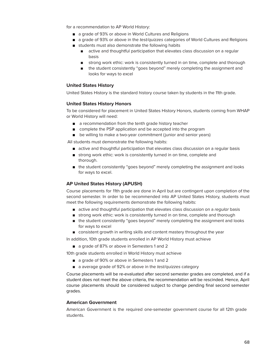for a recommendation to AP World History:

- a grade of 93% or above in World Cultures and Religions
- a grade of 93% or above in the test/quizzes categories of World Cultures and Religions
- students must also demonstrate the following habits
	- active and thoughtful participation that elevates class discussion on a regular basis
	- strong work ethic: work is consistently turned in on time, complete and thorough
	- the student consistently "goes beyond" merely completing the assignment and looks for ways to excel

#### **United States History**

United States History is the standard history course taken by students in the 11th grade.

#### **United States History Honors**

To be considered for placement in United States History Honors, students coming from WHAP or World History will need:

- a recommendation from the tenth grade history teacher
- complete the PSP application and be accepted into the program
- be willing to make a two-year commitment (junior and senior years)

All students must demonstrate the following habits:

- active and thoughtful participation that elevates class discussion on a regular basis
- strong work ethic: work is consistently turned in on time, complete and thorough.
- the student consistently "goes beyond" merely completing the assignment and looks for ways to excel.

#### **AP United States History (APUSH)**

Course placements for 11th grade are done in April but are contingent upon completion of the second semester. In order to be recommended into AP United States History, students must meet the following requirements demonstrate the following habits:

- active and thoughtful participation that elevates class discussion on a regular basis
- strong work ethic: work is consistently turned in on time, complete and thorough
- the student consistently "goes beyond" merely completing the assignment and looks for ways to excel
- consistent growth in writing skills and content mastery throughout the year

In addition, 10th grade students enrolled in AP World History must achieve

■ a grade of 87% or above in Semesters 1 and 2

10th grade students enrolled in World History must achieve

- a grade of 90% or above in Semesters 1 and 2
- a average grade of 92% or above in the *test/guizzes* category

Course placements will be re-evaluated after second semester grades are completed, and if a student does not meet the above criteria, the recommendation will be rescinded. Hence, April course placements should be considered subject to change pending final second semester grades.

#### **American Government**

American Government is the required one-semester government course for all 12th grade students.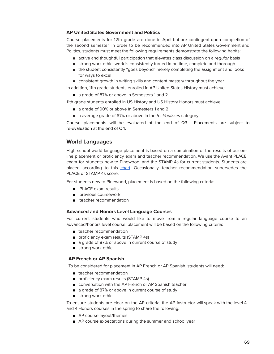#### **AP United States Government and Politics**

Course placements for 12th grade are done in April but are contingent upon completion of the second semester. In order to be recommended into AP United States Government and Politics, students must meet the following requirements demonstrate the following habits:

- active and thoughtful participation that elevates class discussion on a regular basis
- strong work ethic: work is consistently turned in on time, complete and thorough
- the student consistently "goes beyond" merely completing the assignment and looks for ways to excel
- consistent growth in writing skills and content mastery throughout the year

In addition, 11th grade students enrolled in AP United States History must achieve

■ a grade of 87% or above in Semesters 1 and 2

11th grade students enrolled in US History and US History Honors must achieve

- a grade of 90% or above in Semesters 1 and 2
- a average grade of 87% or above in the test/quizzes category

Course placements will be evaluated at the end of Q3. Placements are subject to re-evaluation at the end of Q4.

### <span id="page-68-0"></span>**World Languages**

High school world language placement is based on a combination of the results of our online placement or proficiency exam and teacher recommendation. We use the Avant PLACE exam for students new to Pinewood, and the STAMP 4s for current students. Students are placed according to this [chart](https://docs.google.com/document/d/1J4YooWYCUkLYZfQz1t5copAg0mVW7WZXszliSXz3F54/edit?usp=sharing). Occasionally, teacher recommendation supersedes the PLACE or STAMP 4s score.

For students new to Pinewood, placement is based on the following criteria:

- PLACE exam results
- previous coursework
- teacher recommendation

#### **Advanced and Honors Level Language Courses**

For current students who would like to move from a regular language course to an advanced/honors level course, placement will be based on the following criteria:

- teacher recommendation
- proficiency exam results (STAMP 4s)
- a grade of 87% or above in current course of study
- strong work ethic

#### **AP French or AP Spanish**

To be considered for placement in AP French or AP Spanish, students will need:

- teacher recommendation
- proficiency exam results (STAMP 4s)
- conversation with the AP French or AP Spanish teacher
- a grade of 87% or above in current course of study
- strong work ethic

To ensure students are clear on the AP criteria, the AP instructor will speak with the level 4 and 4 Honors courses in the spring to share the following:

- AP course layout/themes
- AP course expectations during the summer and school year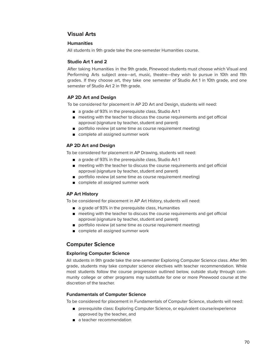### **Visual Arts**

#### **Humanities**

All students in 9th grade take the one-semester Humanities course.

#### **Studio Art 1 and 2**

After taking Humanities in the 9th grade, Pinewood students must choose which Visual and Performing Arts subject area—art, music, theatre—they wish to pursue in 10th and 11th grades. If they choose art, they take one semester of Studio Art 1 in 10th grade, and one semester of Studio Art 2 in 11th grade.

#### **AP 2D Art and Design**

To be considered for placement in AP 2D Art and Design, students will need:

- a grade of 93% in the prerequisite class, Studio Art 1
- meeting with the teacher to discuss the course requirements and get official approval (signature by teacher, student and parent)
- portfolio review (at same time as course requirement meeting)
- complete all assigned summer work

#### **AP 2D Art and Design**

To be considered for placement in AP Drawing, students will need:

- a grade of 93% in the prerequisite class, Studio Art 1
- meeting with the teacher to discuss the course requirements and get official approval (signature by teacher, student and parent)
- portfolio review (at same time as course requirement meeting)
- complete all assigned summer work

#### **AP Art History**

To be considered for placement in AP Art History, students will need:

- a grade of 93% in the prerequisite class, Humanities
- meeting with the teacher to discuss the course requirements and get official approval (signature by teacher, student and parent)
- portfolio review (at same time as course requirement meeting)
- complete all assigned summer work

### **Computer Science**

#### **Exploring Computer Science**

All students in 9th grade take the one-semester Exploring Computer Science class. After 9th grade, students may take computer science electives with teacher recommendation. While most students follow the course progression outlined below, outside study through community college or other programs may substitute for one or more Pinewood course at the discretion of the teacher.

#### **Fundamentals of Computer Science**

To be considered for placement in Fundamentals of Computer Science, students will need:

- prerequisite class: Exploring Computer Science, or equivalent course/experience approved by the teacher, and
- a teacher recommendation